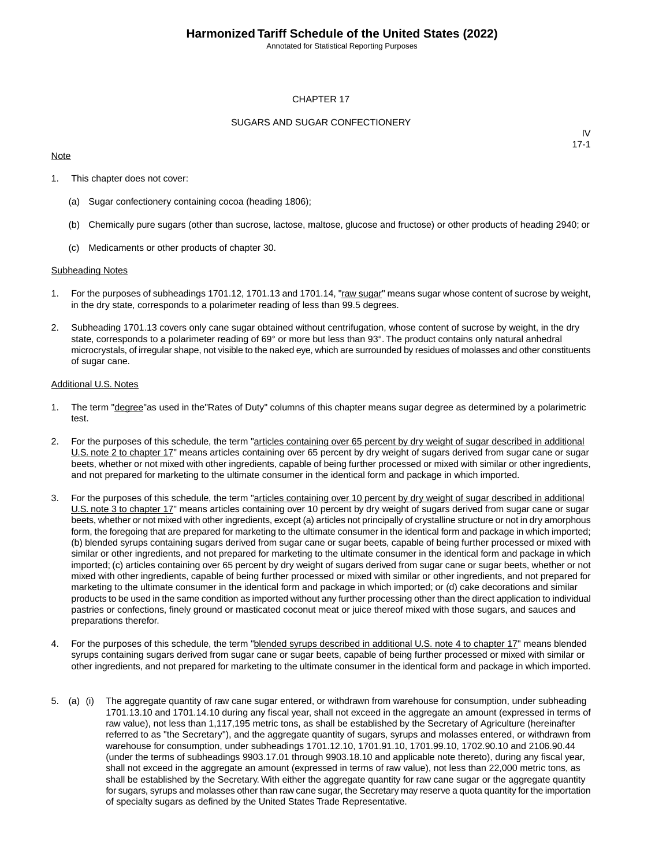Annotated for Statistical Reporting Purposes

#### CHAPTER 17

#### SUGARS AND SUGAR CONFECTIONERY

#### **Note**

IV 17-1

- 1. This chapter does not cover:
	- (a) Sugar confectionery containing cocoa (heading 1806);
	- (b) Chemically pure sugars (other than sucrose, lactose, maltose, glucose and fructose) or other products of heading 2940; or
	- (c) Medicaments or other products of chapter 30.

#### Subheading Notes

- 1. For the purposes of subheadings 1701.12, 1701.13 and 1701.14, "raw sugar" means sugar whose content of sucrose by weight, in the dry state, corresponds to a polarimeter reading of less than 99.5 degrees.
- 2. Subheading 1701.13 covers only cane sugar obtained without centrifugation, whose content of sucrose by weight, in the dry state, corresponds to a polarimeter reading of 69° or more but less than 93°. The product contains only natural anhedral microcrystals, of irregular shape, not visible to the naked eye, which are surrounded by residues of molasses and other constituents of sugar cane.

#### Additional U.S. Notes

- 1. The term "degree"as used in the"Rates of Duty" columns of this chapter means sugar degree as determined by a polarimetric test.
- 2. For the purposes of this schedule, the term "articles containing over 65 percent by dry weight of sugar described in additional U.S. note 2 to chapter 17" means articles containing over 65 percent by dry weight of sugars derived from sugar cane or sugar beets, whether or not mixed with other ingredients, capable of being further processed or mixed with similar or other ingredients, and not prepared for marketing to the ultimate consumer in the identical form and package in which imported.
- 3. For the purposes of this schedule, the term "articles containing over 10 percent by dry weight of sugar described in additional U.S. note 3 to chapter 17" means articles containing over 10 percent by dry weight of sugars derived from sugar cane or sugar beets, whether or not mixed with other ingredients, except (a) articles not principally of crystalline structure or not in dry amorphous form, the foregoing that are prepared for marketing to the ultimate consumer in the identical form and package in which imported; (b) blended syrups containing sugars derived from sugar cane or sugar beets, capable of being further processed or mixed with similar or other ingredients, and not prepared for marketing to the ultimate consumer in the identical form and package in which imported; (c) articles containing over 65 percent by dry weight of sugars derived from sugar cane or sugar beets, whether or not mixed with other ingredients, capable of being further processed or mixed with similar or other ingredients, and not prepared for marketing to the ultimate consumer in the identical form and package in which imported; or (d) cake decorations and similar products to be used in the same condition as imported without any further processing other than the direct application to individual pastries or confections, finely ground or masticated coconut meat or juice thereof mixed with those sugars, and sauces and preparations therefor.
- 4. For the purposes of this schedule, the term "**blended syrups described in additional U.S. note 4 to chapter 17**" means blended syrups containing sugars derived from sugar cane or sugar beets, capable of being further processed or mixed with similar or other ingredients, and not prepared for marketing to the ultimate consumer in the identical form and package in which imported.
- 5. (a) (i) The aggregate quantity of raw cane sugar entered, or withdrawn from warehouse for consumption, under subheading 1701.13.10 and 1701.14.10 during any fiscal year, shall not exceed in the aggregate an amount (expressed in terms of raw value), not less than 1,117,195 metric tons, as shall be established by the Secretary of Agriculture (hereinafter referred to as "the Secretary"), and the aggregate quantity of sugars, syrups and molasses entered, or withdrawn from warehouse for consumption, under subheadings 1701.12.10, 1701.91.10, 1701.99.10, 1702.90.10 and 2106.90.44 (under the terms of subheadings 9903.17.01 through 9903.18.10 and applicable note thereto), during any fiscal year, shall not exceed in the aggregate an amount (expressed in terms of raw value), not less than 22,000 metric tons, as shall be established by the Secretary. With either the aggregate quantity for raw cane sugar or the aggregate quantity for sugars, syrups and molasses other than raw cane sugar, the Secretary may reserve a quota quantity for the importation of specialty sugars as defined by the United States Trade Representative.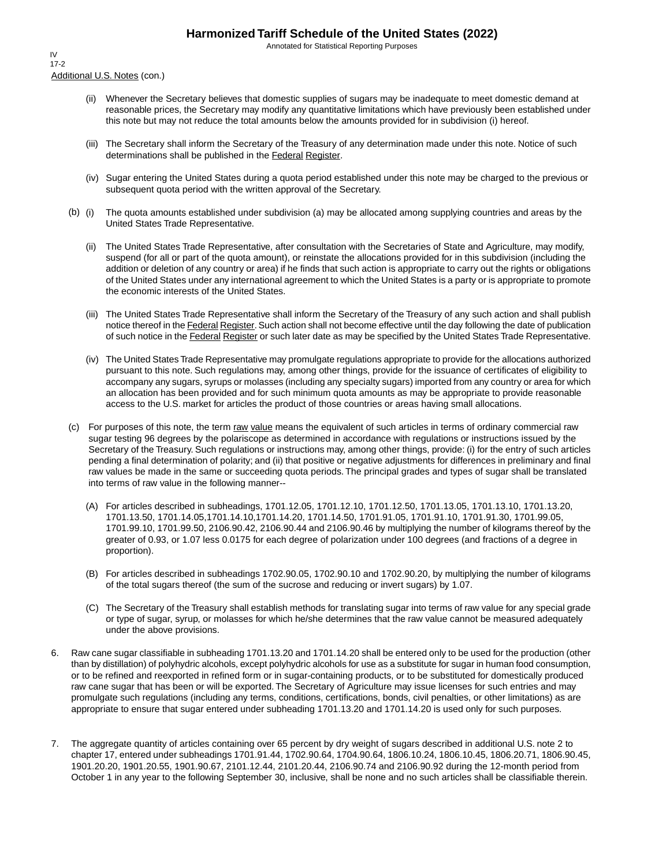Annotated for Statistical Reporting Purposes

Additional U.S. Notes (con.) IV 17-2

- (ii) Whenever the Secretary believes that domestic supplies of sugars may be inadequate to meet domestic demand at reasonable prices, the Secretary may modify any quantitative limitations which have previously been established under this note but may not reduce the total amounts below the amounts provided for in subdivision (i) hereof.
- (iii) The Secretary shall inform the Secretary of the Treasury of any determination made under this note. Notice of such determinations shall be published in the Federal Register.
- (iv) Sugar entering the United States during a quota period established under this note may be charged to the previous or subsequent quota period with the written approval of the Secretary.
- (b) (i) The quota amounts established under subdivision (a) may be allocated among supplying countries and areas by the United States Trade Representative.
	- (ii) The United States Trade Representative, after consultation with the Secretaries of State and Agriculture, may modify, suspend (for all or part of the quota amount), or reinstate the allocations provided for in this subdivision (including the addition or deletion of any country or area) if he finds that such action is appropriate to carry out the rights or obligations of the United States under any international agreement to which the United States is a party or is appropriate to promote the economic interests of the United States.
	- (iii) The United States Trade Representative shall inform the Secretary of the Treasury of any such action and shall publish notice thereof in the Federal Register. Such action shall not become effective until the day following the date of publication of such notice in the Federal Register or such later date as may be specified by the United States Trade Representative.
	- (iv) The United States Trade Representative may promulgate regulations appropriate to provide for the allocations authorized pursuant to this note. Such regulations may, among other things, provide for the issuance of certificates of eligibility to accompany any sugars, syrups or molasses (including any specialty sugars) imported from any country or area for which an allocation has been provided and for such minimum quota amounts as may be appropriate to provide reasonable access to the U.S. market for articles the product of those countries or areas having small allocations.
- (c) For purposes of this note, the term raw value means the equivalent of such articles in terms of ordinary commercial raw sugar testing 96 degrees by the polariscope as determined in accordance with regulations or instructions issued by the Secretary of the Treasury. Such regulations or instructions may, among other things, provide: (i) for the entry of such articles pending a final determination of polarity; and (ii) that positive or negative adjustments for differences in preliminary and final raw values be made in the same or succeeding quota periods. The principal grades and types of sugar shall be translated into terms of raw value in the following manner--
	- (A) For articles described in subheadings, 1701.12.05, 1701.12.10, 1701.12.50, 1701.13.05, 1701.13.10, 1701.13.20, 1701.13.50, 1701.14.05,1701.14.10,1701.14.20, 1701.14.50, 1701.91.05, 1701.91.10, 1701.91.30, 1701.99.05, 1701.99.10, 1701.99.50, 2106.90.42, 2106.90.44 and 2106.90.46 by multiplying the number of kilograms thereof by the greater of 0.93, or 1.07 less 0.0175 for each degree of polarization under 100 degrees (and fractions of a degree in proportion).
	- (B) For articles described in subheadings 1702.90.05, 1702.90.10 and 1702.90.20, by multiplying the number of kilograms of the total sugars thereof (the sum of the sucrose and reducing or invert sugars) by 1.07.
	- (C) The Secretary of the Treasury shall establish methods for translating sugar into terms of raw value for any special grade or type of sugar, syrup, or molasses for which he/she determines that the raw value cannot be measured adequately under the above provisions.
- 6. Raw cane sugar classifiable in subheading 1701.13.20 and 1701.14.20 shall be entered only to be used for the production (other than by distillation) of polyhydric alcohols, except polyhydric alcohols for use as a substitute for sugar in human food consumption, or to be refined and reexported in refined form or in sugar-containing products, or to be substituted for domestically produced raw cane sugar that has been or will be exported. The Secretary of Agriculture may issue licenses for such entries and may promulgate such regulations (including any terms, conditions, certifications, bonds, civil penalties, or other limitations) as are appropriate to ensure that sugar entered under subheading 1701.13.20 and 1701.14.20 is used only for such purposes.
- 7. The aggregate quantity of articles containing over 65 percent by dry weight of sugars described in additional U.S. note 2 to chapter 17, entered under subheadings 1701.91.44, 1702.90.64, 1704.90.64, 1806.10.24, 1806.10.45, 1806.20.71, 1806.90.45, 1901.20.20, 1901.20.55, 1901.90.67, 2101.12.44, 2101.20.44, 2106.90.74 and 2106.90.92 during the 12-month period from October 1 in any year to the following September 30, inclusive, shall be none and no such articles shall be classifiable therein.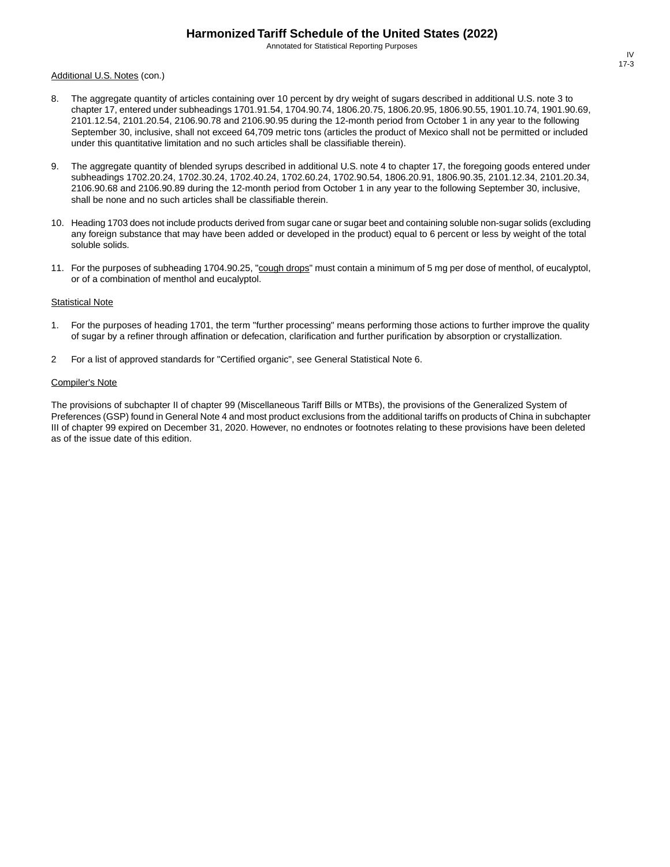Annotated for Statistical Reporting Purposes

#### Additional U.S. Notes (con.)

- 8. The aggregate quantity of articles containing over 10 percent by dry weight of sugars described in additional U.S. note 3 to chapter 17, entered under subheadings 1701.91.54, 1704.90.74, 1806.20.75, 1806.20.95, 1806.90.55, 1901.10.74, 1901.90.69, 2101.12.54, 2101.20.54, 2106.90.78 and 2106.90.95 during the 12-month period from October 1 in any year to the following September 30, inclusive, shall not exceed 64,709 metric tons (articles the product of Mexico shall not be permitted or included under this quantitative limitation and no such articles shall be classifiable therein).
- 9. The aggregate quantity of blended syrups described in additional U.S. note 4 to chapter 17, the foregoing goods entered under subheadings 1702.20.24, 1702.30.24, 1702.40.24, 1702.60.24, 1702.90.54, 1806.20.91, 1806.90.35, 2101.12.34, 2101.20.34, 2106.90.68 and 2106.90.89 during the 12-month period from October 1 in any year to the following September 30, inclusive, shall be none and no such articles shall be classifiable therein.
- 10. Heading 1703 does not include products derived from sugar cane or sugar beet and containing soluble non-sugar solids (excluding any foreign substance that may have been added or developed in the product) equal to 6 percent or less by weight of the total soluble solids.
- 11. For the purposes of subheading 1704.90.25, "cough drops" must contain a minimum of 5 mg per dose of menthol, of eucalyptol, or of a combination of menthol and eucalyptol.

#### **Statistical Note**

- 1. For the purposes of heading 1701, the term "further processing" means performing those actions to further improve the quality of sugar by a refiner through affination or defecation, clarification and further purification by absorption or crystallization.
- 2 For a list of approved standards for "Certified organic", see General Statistical Note 6.

#### Compiler's Note

The provisions of subchapter II of chapter 99 (Miscellaneous Tariff Bills or MTBs), the provisions of the Generalized System of Preferences (GSP) found in General Note 4 and most product exclusions from the additional tariffs on products of China in subchapter III of chapter 99 expired on December 31, 2020. However, no endnotes or footnotes relating to these provisions have been deleted as of the issue date of this edition.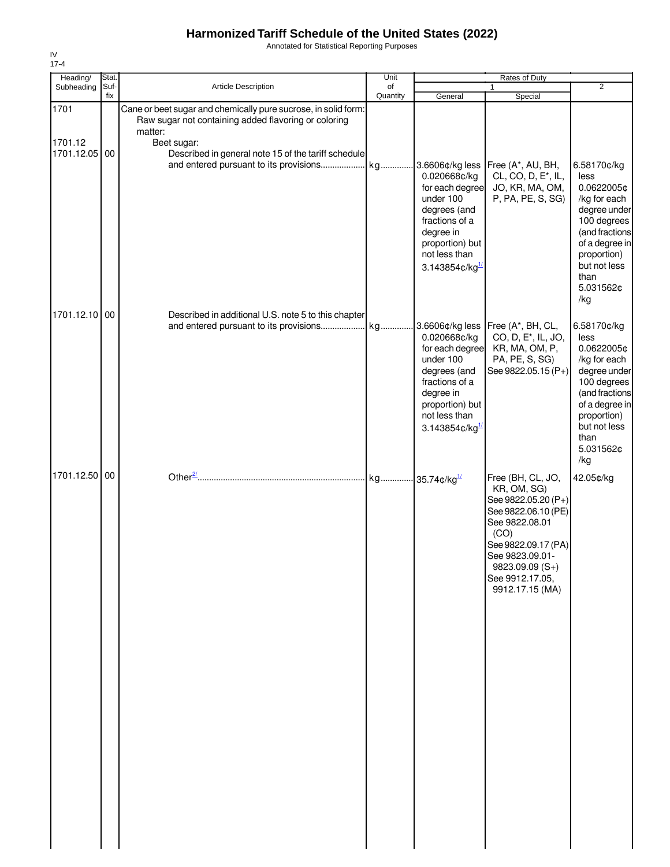Annotated for Statistical Reporting Purposes

| Heading/                      | Stat.       |                                                                                                                                                                                                         | Unit           |                                                                                                                                                                    | Rates of Duty                                                                                                                                                                                               |                                                                                                                                                                                 |
|-------------------------------|-------------|---------------------------------------------------------------------------------------------------------------------------------------------------------------------------------------------------------|----------------|--------------------------------------------------------------------------------------------------------------------------------------------------------------------|-------------------------------------------------------------------------------------------------------------------------------------------------------------------------------------------------------------|---------------------------------------------------------------------------------------------------------------------------------------------------------------------------------|
| Subheading                    | Suf-<br>fix | Article Description                                                                                                                                                                                     | of<br>Quantity | General                                                                                                                                                            | 1<br>Special                                                                                                                                                                                                | $\overline{2}$                                                                                                                                                                  |
| 1701<br>1701.12<br>1701.12.05 | 00          | Cane or beet sugar and chemically pure sucrose, in solid form:<br>Raw sugar not containing added flavoring or coloring<br>matter:<br>Beet sugar:<br>Described in general note 15 of the tariff schedule |                | 0.020668¢/kg<br>for each degree<br>under 100<br>degrees (and<br>fractions of a<br>degree in<br>proportion) but<br>not less than<br>3.143854¢/kg                    | Free (A*, AU, BH,<br>CL, CO, D, E <sup>*</sup> , IL,<br>JO, KR, MA, OM,<br>P, PA, PE, S, SG)                                                                                                                | 6.58170¢/kg<br>less<br>0.0622005¢<br>/kg for each<br>degree under<br>100 degrees<br>(and fractions<br>of a degree in<br>proportion)<br>but not less<br>than<br>5.031562¢<br>/kg |
| 1701.12.10 00                 |             | Described in additional U.S. note 5 to this chapter                                                                                                                                                     |                | 3.6606¢/kg less<br>0.020668¢/kg<br>for each degree<br>under 100<br>degrees (and<br>fractions of a<br>degree in<br>proportion) but<br>not less than<br>3.143854¢/kg | Free (A*, BH, CL,<br>CO, D, E <sup>*</sup> , IL, JO,<br>KR, MA, OM, P,<br>PA, PE, S, SG)<br>See 9822.05.15 (P+)                                                                                             | 6.58170¢/kg<br>less<br>0.0622005¢<br>/kg for each<br>degree under<br>100 degrees<br>(and fractions<br>of a degree in<br>proportion)<br>but not less<br>than<br>5.031562¢<br>/kg |
| 1701.12.50 00                 |             |                                                                                                                                                                                                         |                | kg 35.74¢/kg <sup>1/</sup>                                                                                                                                         | Free (BH, CL, JO,<br>KR, OM, SG)<br>See 9822.05.20 (P+)<br>See 9822.06.10 (PE)<br>See 9822.08.01<br>(CO)<br>See 9822.09.17 (PA)<br>See 9823.09.01-<br>9823.09.09 (S+)<br>See 9912.17.05,<br>9912.17.15 (MA) | 42.05¢/kg                                                                                                                                                                       |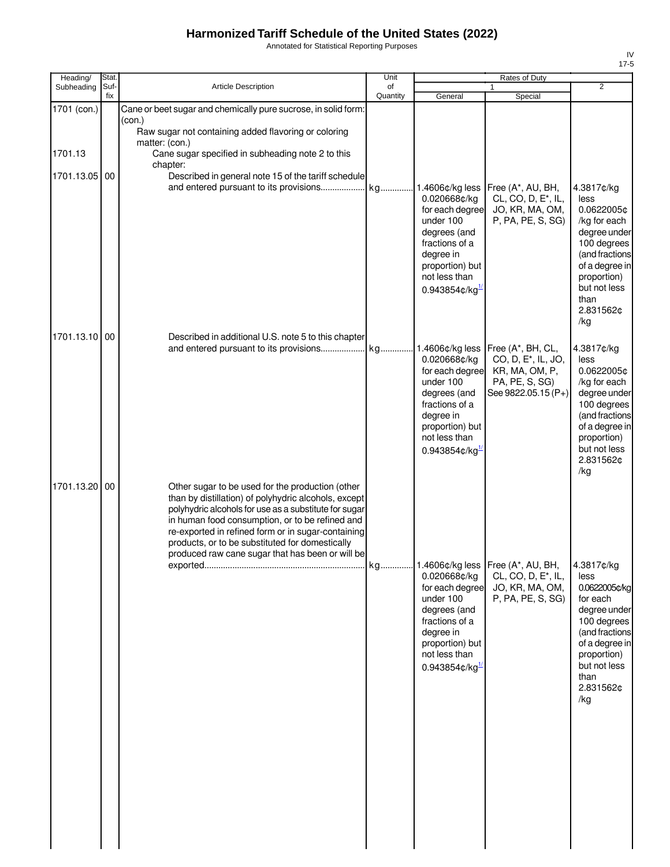Annotated for Statistical Reporting Purposes

| Heading/               | <b>Stat</b> |                                                                                                                                                                                                                                                                                                                                                                                   | Unit           |                                                                                                                                                                                     | Rates of Duty                                                                                                   |                                                                                                                                                                                |
|------------------------|-------------|-----------------------------------------------------------------------------------------------------------------------------------------------------------------------------------------------------------------------------------------------------------------------------------------------------------------------------------------------------------------------------------|----------------|-------------------------------------------------------------------------------------------------------------------------------------------------------------------------------------|-----------------------------------------------------------------------------------------------------------------|--------------------------------------------------------------------------------------------------------------------------------------------------------------------------------|
| Subheading             | Suf-<br>fix | <b>Article Description</b>                                                                                                                                                                                                                                                                                                                                                        | of<br>Quantity | General                                                                                                                                                                             | 1<br>Special                                                                                                    | $\overline{2}$                                                                                                                                                                 |
| 1701 (con.)<br>1701.13 |             | Cane or beet sugar and chemically pure sucrose, in solid form:<br>(con.)<br>Raw sugar not containing added flavoring or coloring<br>matter: (con.)<br>Cane sugar specified in subheading note 2 to this                                                                                                                                                                           |                |                                                                                                                                                                                     |                                                                                                                 |                                                                                                                                                                                |
| 1701.13.05 00          |             | chapter:<br>Described in general note 15 of the tariff schedule                                                                                                                                                                                                                                                                                                                   |                | 1.4606¢/kg less<br>0.020668¢/kg<br>for each degree<br>under 100<br>degrees (and<br>fractions of a<br>degree in<br>proportion) but<br>not less than<br>$0.943854$ ¢/kg <sup>1/</sup> | Free (A*, AU, BH,<br>CL, CO, D, E <sup>*</sup> , IL,<br>JO, KR, MA, OM,<br>P, PA, PE, S, SG)                    | 4.3817¢/kg<br>less<br>0.0622005¢<br>/kg for each<br>degree under<br>100 degrees<br>(and fractions<br>of a degree in<br>proportion)<br>but not less<br>than<br>2.831562¢<br>/kg |
| 1701.13.10 00          |             | Described in additional U.S. note 5 to this chapter                                                                                                                                                                                                                                                                                                                               |                | 1.4606¢/kg less<br>0.020668¢/kg<br>for each degree<br>under 100<br>degrees (and<br>fractions of a<br>degree in<br>proportion) but<br>not less than<br>$0.943854$ ¢/kg <sup>1</sup>  | Free (A*, BH, CL,<br>CO, D, E <sup>*</sup> , IL, JO,<br>KR, MA, OM, P,<br>PA, PE, S, SG)<br>See 9822.05.15 (P+) | 4.3817¢/kg<br>less<br>0.0622005¢<br>/kg for each<br>degree under<br>100 degrees<br>(and fractions<br>of a degree in<br>proportion)<br>but not less<br>2.831562¢<br>/kg         |
| 1701.13.20 00          |             | Other sugar to be used for the production (other<br>than by distillation) of polyhydric alcohols, except<br>polyhydric alcohols for use as a substitute for sugar<br>in human food consumption, or to be refined and<br>re-exported in refined form or in sugar-containing<br>products, or to be substituted for domestically<br>produced raw cane sugar that has been or will be |                | 0.020668¢/kg<br>for each degree<br>under 100<br>degrees (and<br>fractions of a<br>degree in<br>proportion) but<br>not less than<br>$0.943854$ ¢/kg $^{1/2}$                         | CL, CO, D, E <sup>*</sup> , IL,<br>JO, KR, MA, OM,<br>P, PA, PE, S, SG)                                         | 4.3817¢/kg<br>less<br>0.0622005¢/kg<br>for each<br>degree under<br>100 degrees<br>(and fractions<br>of a degree in<br>proportion)<br>but not less<br>than<br>2.831562¢<br>/kg  |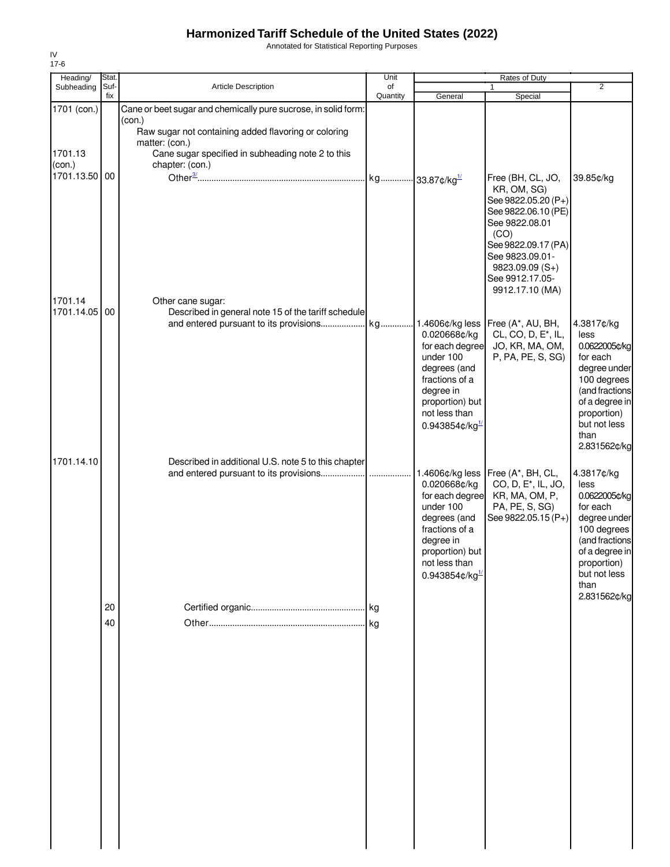Annotated for Statistical Reporting Purposes

| Heading/                                          | Stat.       |                                                                                                                                                                                                                            | Unit           |                                                                                                                                                                 | Rates of Duty                                                                                                                     |                                                                                                                                                           |
|---------------------------------------------------|-------------|----------------------------------------------------------------------------------------------------------------------------------------------------------------------------------------------------------------------------|----------------|-----------------------------------------------------------------------------------------------------------------------------------------------------------------|-----------------------------------------------------------------------------------------------------------------------------------|-----------------------------------------------------------------------------------------------------------------------------------------------------------|
| Subheading                                        | Suf-<br>fix | Article Description                                                                                                                                                                                                        | of<br>Quantity |                                                                                                                                                                 | Special                                                                                                                           | $\overline{2}$                                                                                                                                            |
|                                                   |             |                                                                                                                                                                                                                            |                | General                                                                                                                                                         |                                                                                                                                   |                                                                                                                                                           |
| 1701 (con.)<br>1701.13<br>(con.)<br>1701.13.50 00 |             | Cane or beet sugar and chemically pure sucrose, in solid form:<br>(con.)<br>Raw sugar not containing added flavoring or coloring<br>matter: (con.)<br>Cane sugar specified in subheading note 2 to this<br>chapter: (con.) |                | kg 33.87¢/kg <sup>1/</sup>                                                                                                                                      | Free (BH, CL, JO,<br>KR, OM, SG)<br>See 9822.05.20 (P+)<br>See 9822.06.10 (PE)<br>See 9822.08.01<br>(CO)<br>See 9822.09.17 (PA)   | 39.85¢/kg                                                                                                                                                 |
| 1701.14<br>1701.14.05 00                          |             | Other cane sugar:<br>Described in general note 15 of the tariff schedule<br>and entered pursuant to its provisions                                                                                                         | kg             | 1.4606¢/kg less<br>0.020668¢/kg                                                                                                                                 | See 9823.09.01-<br>9823.09.09 (S+)<br>See 9912.17.05-<br>9912.17.10 (MA)<br>Free (A*, AU, BH,<br>CL, CO, D, E <sup>*</sup> , IL,  | 4.3817¢/kg<br>less                                                                                                                                        |
| 1701.14.10                                        |             | Described in additional U.S. note 5 to this chapter                                                                                                                                                                        |                | for each degree<br>under 100<br>degrees (and<br>fractions of a<br>degree in<br>proportion) but<br>not less than<br>$0.943854$ ¢/kg <sup>1</sup>                 | JO, KR, MA, OM,<br>P, PA, PE, S, SG)                                                                                              | 0.0622005¢/kg<br>for each<br>degree under<br>100 degrees<br>(and fractions<br>of a degree in<br>proportion)<br>but not less<br>than<br>2.831562¢/kg       |
|                                                   |             | and entered pursuant to its provisions                                                                                                                                                                                     | .              | 0.020668¢/kg<br>for each degree<br>under 100<br>degrees (and<br>fractions of a<br>degree in<br>proportion) but<br>not less than<br>$0.943854$ ¢/kg <sup>1</sup> | 1.4606¢/kg less   Free (A*, BH, CL,<br>CO, D, E <sup>*</sup> , IL, JO,<br>KR, MA, OM, P,<br>PA, PE, S, SG)<br>See 9822.05.15 (P+) | 4.3817¢/kg<br>less<br>0.0622005¢/kg<br>for each<br>degree under<br>100 degrees<br>(and fractions<br>of a degree in<br>proportion)<br>but not less<br>than |
|                                                   | 20<br>40    |                                                                                                                                                                                                                            |                |                                                                                                                                                                 |                                                                                                                                   | 2.831562¢/kg                                                                                                                                              |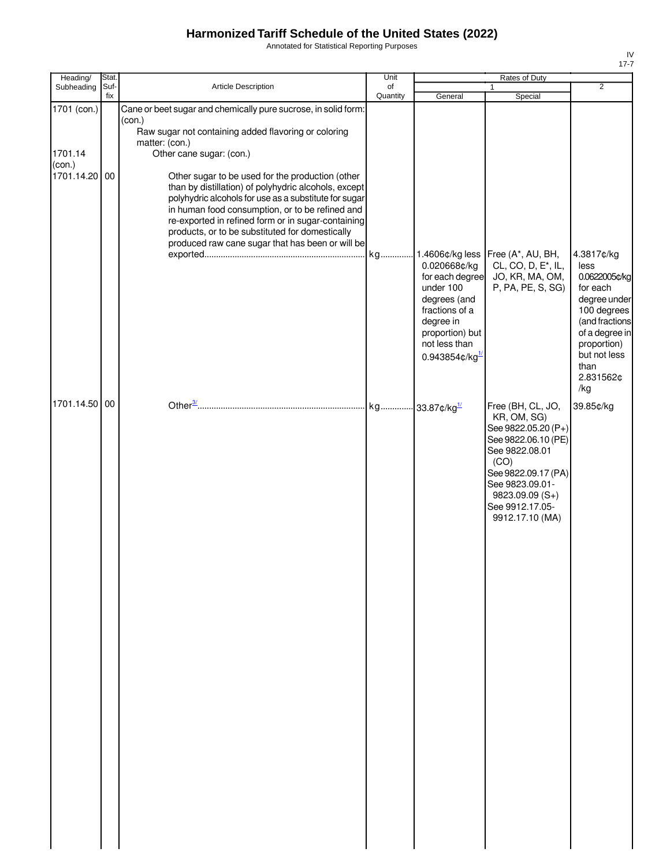Annotated for Statistical Reporting Purposes

| Heading/                                                                      | Stat.             |                                                                                                                                                                                                                                                                                                                                                                                                                                                                                                                                                                                            | Unit           |                                                                                                                                                                                           | Rates of Duty                                                                                                                                                                          |                                                                                                                                                                                                              |
|-------------------------------------------------------------------------------|-------------------|--------------------------------------------------------------------------------------------------------------------------------------------------------------------------------------------------------------------------------------------------------------------------------------------------------------------------------------------------------------------------------------------------------------------------------------------------------------------------------------------------------------------------------------------------------------------------------------------|----------------|-------------------------------------------------------------------------------------------------------------------------------------------------------------------------------------------|----------------------------------------------------------------------------------------------------------------------------------------------------------------------------------------|--------------------------------------------------------------------------------------------------------------------------------------------------------------------------------------------------------------|
|                                                                               |                   |                                                                                                                                                                                                                                                                                                                                                                                                                                                                                                                                                                                            |                |                                                                                                                                                                                           |                                                                                                                                                                                        |                                                                                                                                                                                                              |
| Subheading<br>1701 (con.)<br>1701.14<br>(con.)<br>1701.14.20<br>1701.14.50 00 | Suf-<br>fix<br>00 | Article Description<br>Cane or beet sugar and chemically pure sucrose, in solid form:<br>(con.)<br>Raw sugar not containing added flavoring or coloring<br>matter: (con.)<br>Other cane sugar: (con.)<br>Other sugar to be used for the production (other<br>than by distillation) of polyhydric alcohols, except<br>polyhydric alcohols for use as a substitute for sugar<br>in human food consumption, or to be refined and<br>re-exported in refined form or in sugar-containing<br>products, or to be substituted for domestically<br>produced raw cane sugar that has been or will be | of<br>Quantity | General<br>1.4606¢/kg less<br>0.020668¢/kg<br>for each degree<br>under 100<br>degrees (and<br>fractions of a<br>degree in<br>proportion) but<br>not less than<br>$0.943854$ ¢/kg $^{1/2}$ | 1<br>Special<br>Free (A*, AU, BH,<br>CL, CO, D, E <sup>*</sup> , IL,<br>JO, KR, MA, OM,<br>P, PA, PE, S, SG)<br>Free (BH, CL, JO,                                                      | $\overline{2}$<br>4.3817¢/kg<br>less<br>0.0622005¢/kg<br>for each<br>degree under<br>100 degrees<br>(and fractions<br>of a degree in<br>proportion)<br>but not less<br>than<br>2.831562¢<br>/kg<br>39.85¢/kg |
|                                                                               |                   |                                                                                                                                                                                                                                                                                                                                                                                                                                                                                                                                                                                            |                |                                                                                                                                                                                           | KR, OM, SG)<br>See 9822.05.20 (P+)<br>See 9822.06.10 (PE)<br>See 9822.08.01<br>(CO)<br>See 9822.09.17 (PA)<br>See 9823.09.01-<br>9823.09.09 (S+)<br>See 9912.17.05-<br>9912.17.10 (MA) |                                                                                                                                                                                                              |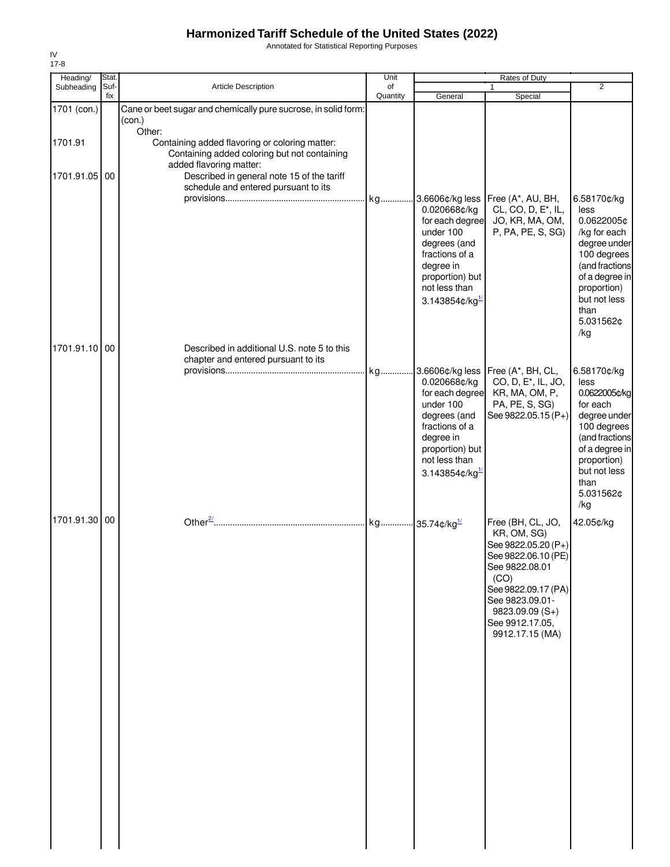Annotated for Statistical Reporting Purposes

| Heading/               | Stat.       |                                                                                                                                                                                                                 | Unit           |                                                                                                                                                                                  | Rates of Duty                                                                                                                                                                                                |                                                                                                                                                                                 |
|------------------------|-------------|-----------------------------------------------------------------------------------------------------------------------------------------------------------------------------------------------------------------|----------------|----------------------------------------------------------------------------------------------------------------------------------------------------------------------------------|--------------------------------------------------------------------------------------------------------------------------------------------------------------------------------------------------------------|---------------------------------------------------------------------------------------------------------------------------------------------------------------------------------|
| Subheading             | Suf-<br>fix | Article Description                                                                                                                                                                                             | of<br>Quantity | General                                                                                                                                                                          | 1<br>Special                                                                                                                                                                                                 | $\overline{2}$                                                                                                                                                                  |
| 1701 (con.)<br>1701.91 |             | Cane or beet sugar and chemically pure sucrose, in solid form:<br>(con.)<br>Other:<br>Containing added flavoring or coloring matter:<br>Containing added coloring but not containing<br>added flavoring matter: |                |                                                                                                                                                                                  |                                                                                                                                                                                                              |                                                                                                                                                                                 |
| 1701.91.05 00          |             | Described in general note 15 of the tariff<br>schedule and entered pursuant to its                                                                                                                              |                | 3.6606¢/kg less<br>0.020668¢/kg<br>for each degree<br>under 100<br>degrees (and<br>fractions of a<br>degree in<br>proportion) but<br>not less than<br>3.143854¢/kg $^{1/2}$      | Free (A*, AU, BH,<br>CL, CO, D, E <sup>*</sup> , IL,<br>JO, KR, MA, OM,<br>P, PA, PE, S, SG)                                                                                                                 | 6.58170¢/kg<br>less<br>0.0622005¢<br>/kg for each<br>degree under<br>100 degrees<br>(and fractions<br>of a degree in<br>proportion)<br>but not less<br>than<br>5.031562¢<br>/kg |
| 1701.91.10             | 00          | Described in additional U.S. note 5 to this<br>chapter and entered pursuant to its                                                                                                                              |                | 3.6606¢/kg less<br>0.020668¢/kg<br>for each degree<br>under 100<br>degrees (and<br>fractions of a<br>degree in<br>proportion) but<br>not less than<br>3.143854¢/kg $\frac{1}{2}$ | Free (A*, BH, CL,<br>CO, D, E <sup>*</sup> , IL, JO,<br>KR, MA, OM, P,<br>PA, PE, S, SG)<br>See 9822.05.15 (P+)                                                                                              | 6.58170¢/kg<br>less<br>0.0622005¢/kg<br>for each<br>degree under<br>100 degrees<br>(and fractions<br>of a degree in<br>proportion)<br>but not less<br>than<br>5.031562¢<br>/kg  |
| 1701.91.30 00          |             |                                                                                                                                                                                                                 |                |                                                                                                                                                                                  | Free (BH, CL, JO,<br>KR, OM, SG)<br>See 9822.05.20 (P+)<br>See 9822.06.10 (PE)<br>See 9822.08.01<br>(CO)<br>See 9822.09.17 (PA)<br>See 9823.09.01-<br>$9823.09.09(S+)$<br>See 9912.17.05,<br>9912.17.15 (MA) | 42.05¢/kg                                                                                                                                                                       |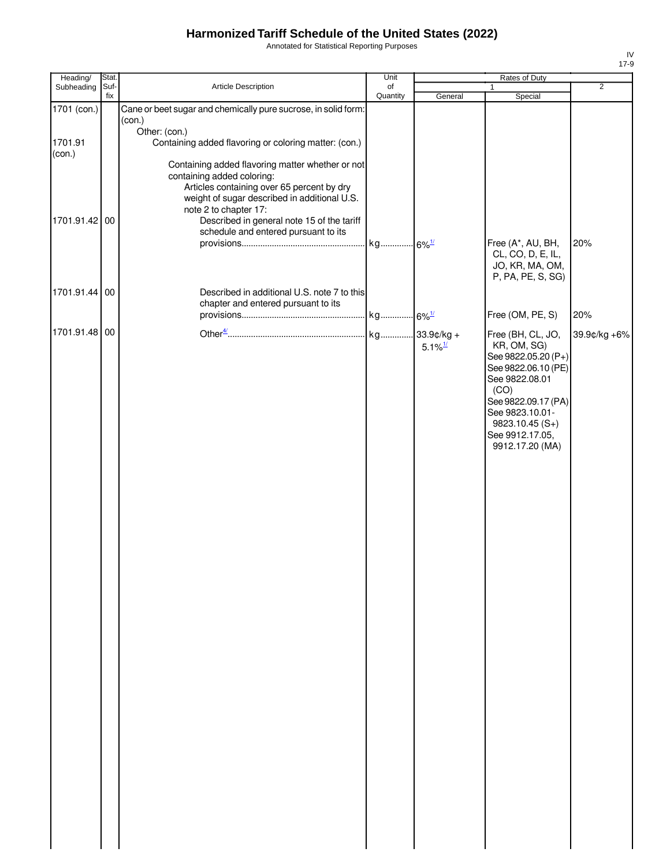Annotated for Statistical Reporting Purposes

| Heading/      | Stat.       |                                                                                                                                                                                                       | Unit                | Rates of Duty         |                                                                                                                                                                                                             |                |
|---------------|-------------|-------------------------------------------------------------------------------------------------------------------------------------------------------------------------------------------------------|---------------------|-----------------------|-------------------------------------------------------------------------------------------------------------------------------------------------------------------------------------------------------------|----------------|
| Subheading    | Suf-<br>fix | Article Description                                                                                                                                                                                   | of<br>Quantity      | General               | $\mathbf{1}$<br>Special                                                                                                                                                                                     | $\overline{2}$ |
| 1701 (con.)   |             | Cane or beet sugar and chemically pure sucrose, in solid form:<br>(con.)                                                                                                                              |                     |                       |                                                                                                                                                                                                             |                |
| 1701.91       |             | Other: (con.)<br>Containing added flavoring or coloring matter: (con.)                                                                                                                                |                     |                       |                                                                                                                                                                                                             |                |
| (con.)        |             | Containing added flavoring matter whether or not<br>containing added coloring:<br>Articles containing over 65 percent by dry<br>weight of sugar described in additional U.S.<br>note 2 to chapter 17: |                     |                       |                                                                                                                                                                                                             |                |
| 1701.91.42 00 |             | Described in general note 15 of the tariff<br>schedule and entered pursuant to its                                                                                                                    |                     |                       | Free (A*, AU, BH,<br>CL, CO, D, E, IL,<br>JO, KR, MA, OM,                                                                                                                                                   | 20%            |
| 1701.91.44 00 |             | Described in additional U.S. note 7 to this<br>chapter and entered pursuant to its                                                                                                                    |                     |                       | P, PA, PE, S, SG)                                                                                                                                                                                           |                |
|               |             |                                                                                                                                                                                                       | kg 6% <sup>1/</sup> |                       | Free (OM, PE, S)                                                                                                                                                                                            | 20%            |
| 1701.91.48 00 |             |                                                                                                                                                                                                       |                     | $5.1\%$ <sup>1/</sup> | Free (BH, CL, JO,<br>KR, OM, SG)<br>See 9822.05.20 (P+)<br>See 9822.06.10 (PE)<br>See 9822.08.01<br>(CO)<br>See 9822.09.17 (PA)<br>See 9823.10.01-<br>9823.10.45 (S+)<br>See 9912.17.05,<br>9912.17.20 (MA) | 39.9¢/kg +6%   |
|               |             |                                                                                                                                                                                                       |                     |                       |                                                                                                                                                                                                             |                |
|               |             |                                                                                                                                                                                                       |                     |                       |                                                                                                                                                                                                             |                |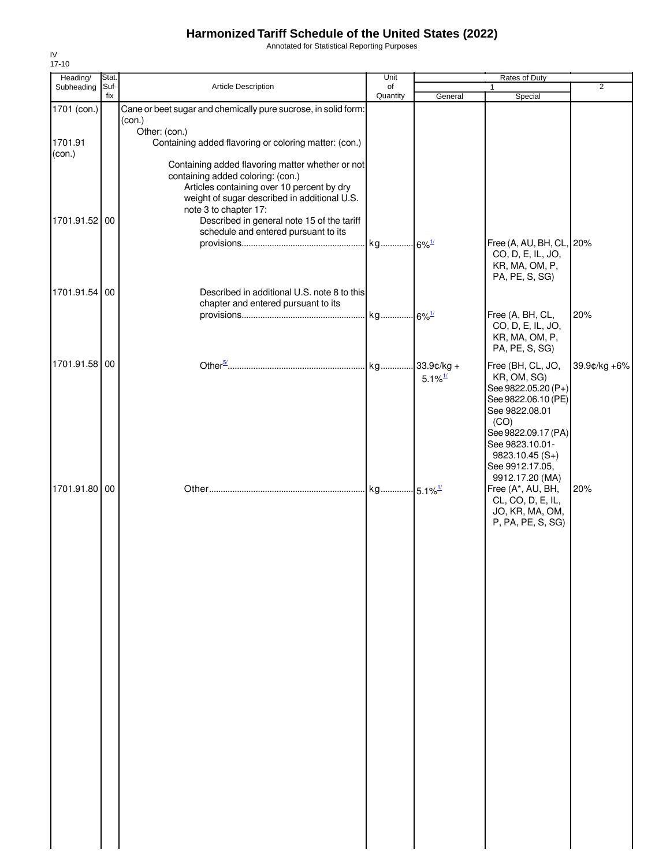Annotated for Statistical Reporting Purposes

| Heading/          | Stat.       |                                                                                                                                                                                                                                                            | Unit           |                       | Rates of Duty                                                                                                                                                                             |                |
|-------------------|-------------|------------------------------------------------------------------------------------------------------------------------------------------------------------------------------------------------------------------------------------------------------------|----------------|-----------------------|-------------------------------------------------------------------------------------------------------------------------------------------------------------------------------------------|----------------|
| Subheading        | Suf-<br>fix | Article Description                                                                                                                                                                                                                                        | of<br>Quantity | General               | $\mathbf{1}$<br>Special                                                                                                                                                                   | $\overline{2}$ |
| 1701 (con.)       |             | Cane or beet sugar and chemically pure sucrose, in solid form:<br>(con.)                                                                                                                                                                                   |                |                       |                                                                                                                                                                                           |                |
| 1701.91<br>(con.) |             | Other: (con.)<br>Containing added flavoring or coloring matter: (con.)                                                                                                                                                                                     |                |                       |                                                                                                                                                                                           |                |
| 1701.91.52 00     |             | Containing added flavoring matter whether or not<br>containing added coloring: (con.)<br>Articles containing over 10 percent by dry<br>weight of sugar described in additional U.S.<br>note 3 to chapter 17:<br>Described in general note 15 of the tariff |                |                       |                                                                                                                                                                                           |                |
|                   |             | schedule and entered pursuant to its                                                                                                                                                                                                                       |                |                       | Free (A, AU, BH, CL, 20%<br>CO, D, E, IL, JO,<br>KR, MA, OM, P,<br>PA, PE, S, SG)                                                                                                         |                |
| 1701.91.54 00     |             | Described in additional U.S. note 8 to this<br>chapter and entered pursuant to its                                                                                                                                                                         |                |                       | Free (A, BH, CL,<br>CO, D, E, IL, JO,                                                                                                                                                     | 20%            |
|                   |             |                                                                                                                                                                                                                                                            |                |                       | KR, MA, OM, P,<br>PA, PE, S, SG)                                                                                                                                                          |                |
| 1701.91.58 00     |             |                                                                                                                                                                                                                                                            |                | $5.1\%$ <sup>1/</sup> | Free (BH, CL, JO,<br>KR, OM, SG)<br>See 9822.05.20 (P+)<br>See 9822.06.10 (PE)<br>See 9822.08.01<br>(CO)<br>See 9822.09.17 (PA)<br>See 9823.10.01-<br>$9823.10.45(S+)$<br>See 9912.17.05, | 39.9¢/kg +6%   |
| 1701.91.80 00     |             |                                                                                                                                                                                                                                                            |                |                       | 9912.17.20 (MA)<br>Free (A*, AU, BH,<br>CL, CO, D, E, IL,<br>JO, KR, MA, OM,<br>P, PA, PE, S, SG)                                                                                         | 20%            |
|                   |             |                                                                                                                                                                                                                                                            |                |                       |                                                                                                                                                                                           |                |
|                   |             |                                                                                                                                                                                                                                                            |                |                       |                                                                                                                                                                                           |                |
|                   |             |                                                                                                                                                                                                                                                            |                |                       |                                                                                                                                                                                           |                |
|                   |             |                                                                                                                                                                                                                                                            |                |                       |                                                                                                                                                                                           |                |
|                   |             |                                                                                                                                                                                                                                                            |                |                       |                                                                                                                                                                                           |                |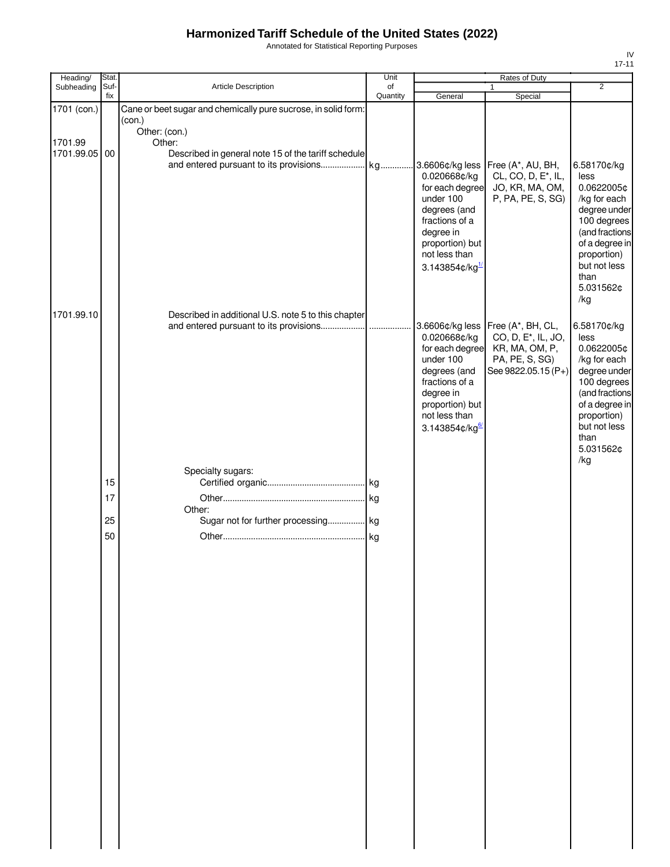Annotated for Statistical Reporting Purposes

| Heading/                                              | Stat.                |                                                                                                                                                                                                                   | Unit           |                                                                                                                                                 | Rates of Duty                                                                                                                   |                                                                                                                                                                                 |
|-------------------------------------------------------|----------------------|-------------------------------------------------------------------------------------------------------------------------------------------------------------------------------------------------------------------|----------------|-------------------------------------------------------------------------------------------------------------------------------------------------|---------------------------------------------------------------------------------------------------------------------------------|---------------------------------------------------------------------------------------------------------------------------------------------------------------------------------|
| Subheading                                            | Suf-<br>fix          | Article Description                                                                                                                                                                                               | of<br>Quantity | General                                                                                                                                         | $\mathbf{1}$<br>Special                                                                                                         | $\overline{2}$                                                                                                                                                                  |
| 1701 (con.)<br>1701.99<br>1701.99.05 00<br>1701.99.10 |                      | Cane or beet sugar and chemically pure sucrose, in solid form:<br>(con.)<br>Other: (con.)<br>Other:<br>Described in general note 15 of the tariff schedule<br>Described in additional U.S. note 5 to this chapter |                | 0.020668¢/kg<br>for each degree<br>under 100<br>degrees (and<br>fractions of a<br>degree in<br>proportion) but<br>not less than<br>3.143854¢/kg | Free (A*, AU, BH,<br>CL, CO, D, E <sup>*</sup> , IL,<br>JO, KR, MA, OM,<br>P, PA, PE, S, SG)                                    | 6.58170¢/kg<br>less<br>0.0622005¢<br>/kg for each<br>degree under<br>100 degrees<br>(and fractions<br>of a degree in<br>proportion)<br>but not less<br>than<br>5.031562¢<br>/kg |
|                                                       | 15<br>17<br>25<br>50 | Specialty sugars:<br>Other:<br>Sugar not for further processing kg                                                                                                                                                | lkg.           | 0.020668¢/kg<br>for each degree<br>under 100<br>degrees (and<br>fractions of a<br>degree in<br>proportion) but<br>not less than<br>3.143854¢/kg | 3.6606¢/kg less Free (A*, BH, CL,<br>CO, D, E <sup>*</sup> , IL, JO,<br>KR, MA, OM, P,<br>PA, PE, S, SG)<br>See 9822.05.15 (P+) | 6.58170¢/kg<br>less<br>0.0622005¢<br>/kg for each<br>degree under<br>100 degrees<br>(and fractions<br>of a degree in<br>proportion)<br>but not less<br>than<br>5.031562¢<br>/kg |
|                                                       |                      |                                                                                                                                                                                                                   |                |                                                                                                                                                 |                                                                                                                                 |                                                                                                                                                                                 |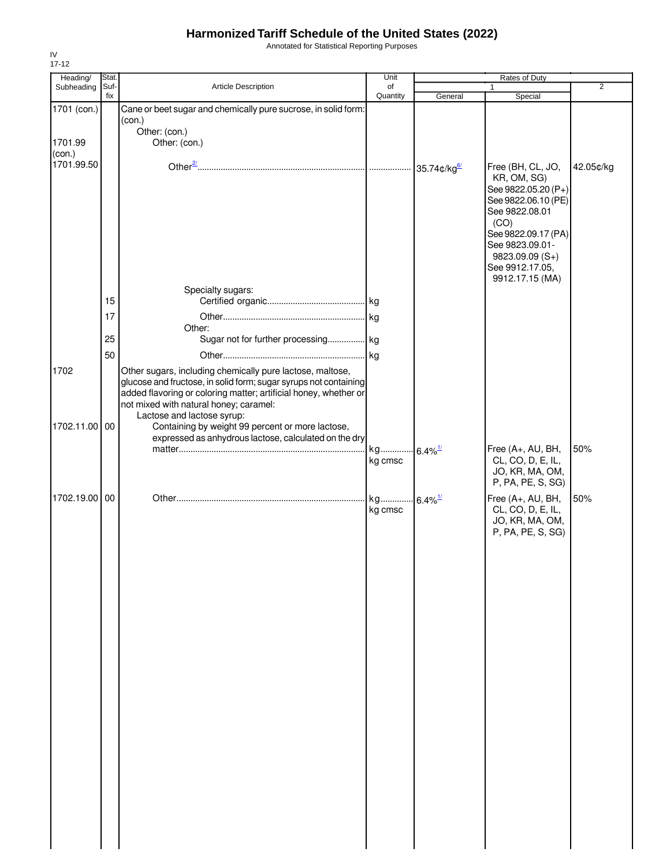Annotated for Statistical Reporting Purposes

| Heading/      | Stat.       |                                                                                                                                      | Unit                  |         | Rates of Duty                              |                |
|---------------|-------------|--------------------------------------------------------------------------------------------------------------------------------------|-----------------------|---------|--------------------------------------------|----------------|
| Subheading    | Suf-<br>fix | Article Description                                                                                                                  | of<br>Quantity        | General | $\mathbf{1}$<br>Special                    | $\overline{2}$ |
| 1701 (con.)   |             | Cane or beet sugar and chemically pure sucrose, in solid form:                                                                       |                       |         |                                            |                |
|               |             | (con.)                                                                                                                               |                       |         |                                            |                |
| 1701.99       |             | Other: (con.)<br>Other: (con.)                                                                                                       |                       |         |                                            |                |
| (con.)        |             |                                                                                                                                      |                       |         |                                            |                |
| 1701.99.50    |             |                                                                                                                                      |                       |         | Free (BH, CL, JO,                          | 42.05¢/kg      |
|               |             |                                                                                                                                      |                       |         | KR, OM, SG)                                |                |
|               |             |                                                                                                                                      |                       |         | See 9822.05.20 (P+)<br>See 9822.06.10 (PE) |                |
|               |             |                                                                                                                                      |                       |         | See 9822.08.01                             |                |
|               |             |                                                                                                                                      |                       |         | (CO)                                       |                |
|               |             |                                                                                                                                      |                       |         | See 9822.09.17 (PA)<br>See 9823.09.01-     |                |
|               |             |                                                                                                                                      |                       |         | $9823.09.09(S+)$                           |                |
|               |             |                                                                                                                                      |                       |         | See 9912.17.05,                            |                |
|               |             | Specialty sugars:                                                                                                                    |                       |         | 9912.17.15 (MA)                            |                |
|               | 15          |                                                                                                                                      |                       |         |                                            |                |
|               | 17          |                                                                                                                                      |                       |         |                                            |                |
|               |             | Other:                                                                                                                               |                       |         |                                            |                |
|               | 25          | Sugar not for further processing kg                                                                                                  |                       |         |                                            |                |
|               | 50          |                                                                                                                                      |                       |         |                                            |                |
| 1702          |             | Other sugars, including chemically pure lactose, maltose,                                                                            |                       |         |                                            |                |
|               |             | glucose and fructose, in solid form; sugar syrups not containing<br>added flavoring or coloring matter; artificial honey, whether or |                       |         |                                            |                |
|               |             | not mixed with natural honey; caramel:                                                                                               |                       |         |                                            |                |
|               |             | Lactose and lactose syrup:                                                                                                           |                       |         |                                            |                |
| 1702.11.00 00 |             | Containing by weight 99 percent or more lactose,<br>expressed as anhydrous lactose, calculated on the dry                            |                       |         |                                            |                |
|               |             |                                                                                                                                      | kg 6.4% <sup>1/</sup> |         | Free (A+, AU, BH,                          | 50%            |
|               |             |                                                                                                                                      | kg cmsc               |         | CL, CO, D, E, IL,                          |                |
|               |             |                                                                                                                                      |                       |         | JO, KR, MA, OM,<br>P, PA, PE, S, SG)       |                |
|               |             |                                                                                                                                      |                       |         |                                            |                |
| 1702.19.00 00 |             |                                                                                                                                      | kg cmsc               |         | Free (A+, AU, BH,<br>CL, CO, D, E, IL,     | 50%            |
|               |             |                                                                                                                                      |                       |         | JO, KR, MA, OM,                            |                |
|               |             |                                                                                                                                      |                       |         | P, PA, PE, S, SG)                          |                |
|               |             |                                                                                                                                      |                       |         |                                            |                |
|               |             |                                                                                                                                      |                       |         |                                            |                |
|               |             |                                                                                                                                      |                       |         |                                            |                |
|               |             |                                                                                                                                      |                       |         |                                            |                |
|               |             |                                                                                                                                      |                       |         |                                            |                |
|               |             |                                                                                                                                      |                       |         |                                            |                |
|               |             |                                                                                                                                      |                       |         |                                            |                |
|               |             |                                                                                                                                      |                       |         |                                            |                |
|               |             |                                                                                                                                      |                       |         |                                            |                |
|               |             |                                                                                                                                      |                       |         |                                            |                |
|               |             |                                                                                                                                      |                       |         |                                            |                |
|               |             |                                                                                                                                      |                       |         |                                            |                |
|               |             |                                                                                                                                      |                       |         |                                            |                |
|               |             |                                                                                                                                      |                       |         |                                            |                |
|               |             |                                                                                                                                      |                       |         |                                            |                |
|               |             |                                                                                                                                      |                       |         |                                            |                |
|               |             |                                                                                                                                      |                       |         |                                            |                |
|               |             |                                                                                                                                      |                       |         |                                            |                |
|               |             |                                                                                                                                      |                       |         |                                            |                |
|               |             |                                                                                                                                      |                       |         |                                            |                |
|               |             |                                                                                                                                      |                       |         |                                            |                |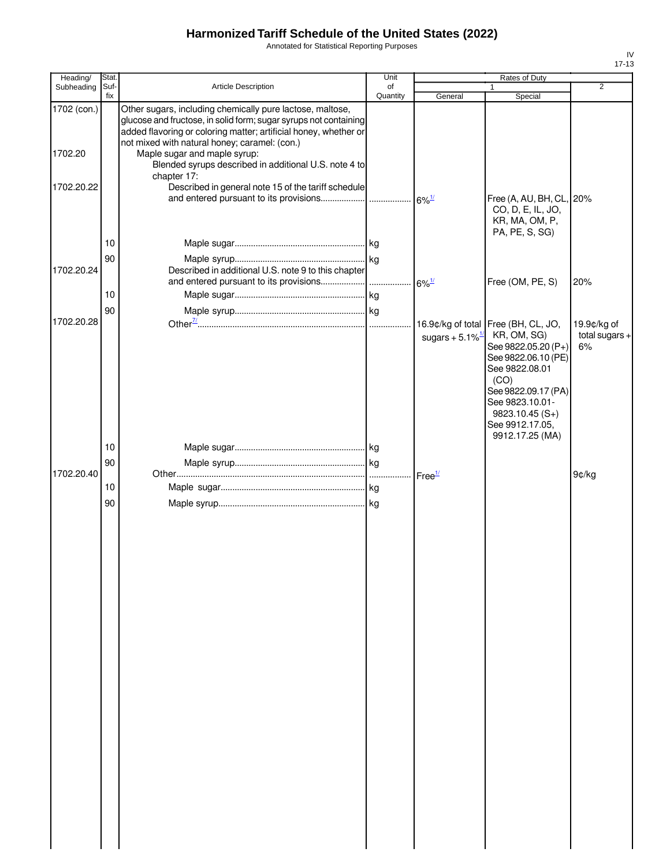Annotated for Statistical Reporting Purposes

| Heading/               | Stat |                                                                                                                                                                                                                                                                                    | Unit     |                                                      | Rates of Duty                                                                                                                                                                                               |                                       |
|------------------------|------|------------------------------------------------------------------------------------------------------------------------------------------------------------------------------------------------------------------------------------------------------------------------------------|----------|------------------------------------------------------|-------------------------------------------------------------------------------------------------------------------------------------------------------------------------------------------------------------|---------------------------------------|
| Subheading             | Suf- | <b>Article Description</b>                                                                                                                                                                                                                                                         | of       |                                                      | 1                                                                                                                                                                                                           | 2                                     |
|                        | fix  |                                                                                                                                                                                                                                                                                    | Quantity | General                                              | Special                                                                                                                                                                                                     |                                       |
| 1702 (con.)<br>1702.20 |      | Other sugars, including chemically pure lactose, maltose,<br>glucose and fructose, in solid form; sugar syrups not containing<br>added flavoring or coloring matter; artificial honey, whether or<br>not mixed with natural honey; caramel: (con.)<br>Maple sugar and maple syrup: |          |                                                      |                                                                                                                                                                                                             |                                       |
|                        |      | Blended syrups described in additional U.S. note 4 to                                                                                                                                                                                                                              |          |                                                      |                                                                                                                                                                                                             |                                       |
| 1702.20.22             |      | chapter 17:<br>Described in general note 15 of the tariff schedule                                                                                                                                                                                                                 |          |                                                      | Free (A, AU, BH, CL, 20%                                                                                                                                                                                    |                                       |
|                        | 10   |                                                                                                                                                                                                                                                                                    |          |                                                      | CO, D, E, IL, JO,<br>KR, MA, OM, P,<br>PA, PE, S, SG)                                                                                                                                                       |                                       |
|                        |      |                                                                                                                                                                                                                                                                                    |          |                                                      |                                                                                                                                                                                                             |                                       |
| 1702.20.24             | 90   | Described in additional U.S. note 9 to this chapter                                                                                                                                                                                                                                |          | $6\%$ <sup>1/</sup>                                  | Free (OM, PE, S)                                                                                                                                                                                            | 20%                                   |
|                        | 10   |                                                                                                                                                                                                                                                                                    |          |                                                      |                                                                                                                                                                                                             |                                       |
|                        |      |                                                                                                                                                                                                                                                                                    |          |                                                      |                                                                                                                                                                                                             |                                       |
| 1702.20.28             | 90   |                                                                                                                                                                                                                                                                                    |          |                                                      |                                                                                                                                                                                                             |                                       |
|                        |      |                                                                                                                                                                                                                                                                                    |          | sugars + $5.1\%$ <sup><math>\frac{1}{2}</math></sup> | 16.9¢/kg of total Free (BH, CL, JO,<br>KR, OM, SG)<br>See 9822.05.20 (P+)<br>See 9822.06.10 (PE)<br>See 9822.08.01<br>(CO)<br>See 9822.09.17 (PA)<br>See 9823.10.01-<br>$9823.10.45(S+)$<br>See 9912.17.05, | 19.9¢/kg of<br>total sugars $+$<br>6% |
|                        |      |                                                                                                                                                                                                                                                                                    |          |                                                      | 9912.17.25 (MA)                                                                                                                                                                                             |                                       |
|                        | 10   |                                                                                                                                                                                                                                                                                    |          |                                                      |                                                                                                                                                                                                             |                                       |
|                        | 90   |                                                                                                                                                                                                                                                                                    |          |                                                      |                                                                                                                                                                                                             |                                       |
| 1702.20.40             |      |                                                                                                                                                                                                                                                                                    |          | Free <sup>1/</sup>                                   |                                                                                                                                                                                                             | 9¢/kg                                 |
|                        | 10   |                                                                                                                                                                                                                                                                                    |          |                                                      |                                                                                                                                                                                                             |                                       |
|                        | 90   |                                                                                                                                                                                                                                                                                    |          |                                                      |                                                                                                                                                                                                             |                                       |
|                        |      |                                                                                                                                                                                                                                                                                    |          |                                                      |                                                                                                                                                                                                             |                                       |
|                        |      |                                                                                                                                                                                                                                                                                    |          |                                                      |                                                                                                                                                                                                             |                                       |
|                        |      |                                                                                                                                                                                                                                                                                    |          |                                                      |                                                                                                                                                                                                             |                                       |
|                        |      |                                                                                                                                                                                                                                                                                    |          |                                                      |                                                                                                                                                                                                             |                                       |
|                        |      |                                                                                                                                                                                                                                                                                    |          |                                                      |                                                                                                                                                                                                             |                                       |
|                        |      |                                                                                                                                                                                                                                                                                    |          |                                                      |                                                                                                                                                                                                             |                                       |
|                        |      |                                                                                                                                                                                                                                                                                    |          |                                                      |                                                                                                                                                                                                             |                                       |
|                        |      |                                                                                                                                                                                                                                                                                    |          |                                                      |                                                                                                                                                                                                             |                                       |
|                        |      |                                                                                                                                                                                                                                                                                    |          |                                                      |                                                                                                                                                                                                             |                                       |
|                        |      |                                                                                                                                                                                                                                                                                    |          |                                                      |                                                                                                                                                                                                             |                                       |
|                        |      |                                                                                                                                                                                                                                                                                    |          |                                                      |                                                                                                                                                                                                             |                                       |
|                        |      |                                                                                                                                                                                                                                                                                    |          |                                                      |                                                                                                                                                                                                             |                                       |
|                        |      |                                                                                                                                                                                                                                                                                    |          |                                                      |                                                                                                                                                                                                             |                                       |
|                        |      |                                                                                                                                                                                                                                                                                    |          |                                                      |                                                                                                                                                                                                             |                                       |
|                        |      |                                                                                                                                                                                                                                                                                    |          |                                                      |                                                                                                                                                                                                             |                                       |
|                        |      |                                                                                                                                                                                                                                                                                    |          |                                                      |                                                                                                                                                                                                             |                                       |
|                        |      |                                                                                                                                                                                                                                                                                    |          |                                                      |                                                                                                                                                                                                             |                                       |
|                        |      |                                                                                                                                                                                                                                                                                    |          |                                                      |                                                                                                                                                                                                             |                                       |
|                        |      |                                                                                                                                                                                                                                                                                    |          |                                                      |                                                                                                                                                                                                             |                                       |
|                        |      |                                                                                                                                                                                                                                                                                    |          |                                                      |                                                                                                                                                                                                             |                                       |
|                        |      |                                                                                                                                                                                                                                                                                    |          |                                                      |                                                                                                                                                                                                             |                                       |
|                        |      |                                                                                                                                                                                                                                                                                    |          |                                                      |                                                                                                                                                                                                             |                                       |
|                        |      |                                                                                                                                                                                                                                                                                    |          |                                                      |                                                                                                                                                                                                             |                                       |
|                        |      |                                                                                                                                                                                                                                                                                    |          |                                                      |                                                                                                                                                                                                             |                                       |
|                        |      |                                                                                                                                                                                                                                                                                    |          |                                                      |                                                                                                                                                                                                             |                                       |
|                        |      |                                                                                                                                                                                                                                                                                    |          |                                                      |                                                                                                                                                                                                             |                                       |
|                        |      |                                                                                                                                                                                                                                                                                    |          |                                                      |                                                                                                                                                                                                             |                                       |
|                        |      |                                                                                                                                                                                                                                                                                    |          |                                                      |                                                                                                                                                                                                             |                                       |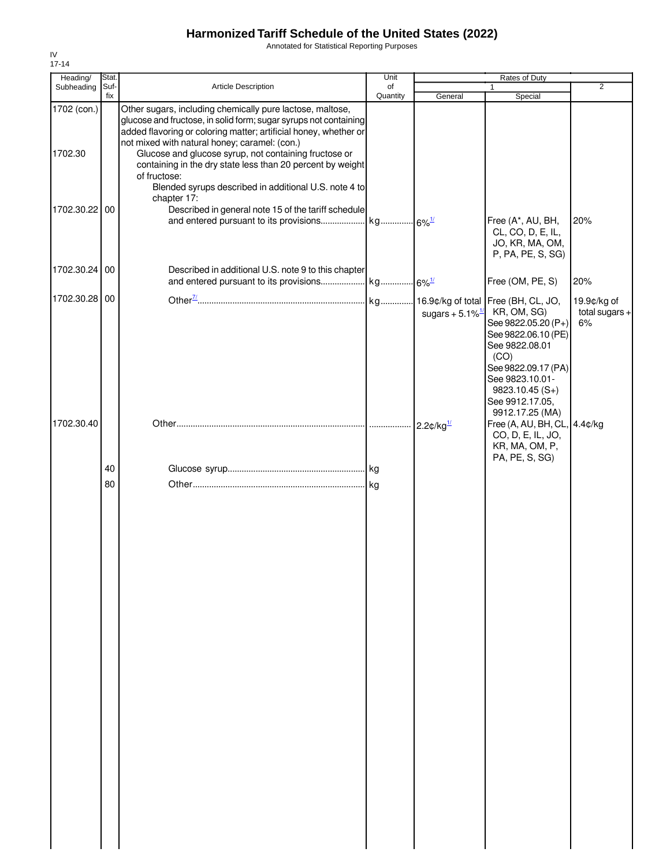Annotated for Statistical Reporting Purposes

| Heading/               | Stat.       |                                                                                                                                                                                                                                                                                                                                                                                                                                                    | Unit           |                                                      | Rates of Duty                                                                                                                                                                                                                  |                                       |
|------------------------|-------------|----------------------------------------------------------------------------------------------------------------------------------------------------------------------------------------------------------------------------------------------------------------------------------------------------------------------------------------------------------------------------------------------------------------------------------------------------|----------------|------------------------------------------------------|--------------------------------------------------------------------------------------------------------------------------------------------------------------------------------------------------------------------------------|---------------------------------------|
| Subheading             | Suf-<br>fix | Article Description                                                                                                                                                                                                                                                                                                                                                                                                                                | of<br>Quantity | General                                              | 1<br>Special                                                                                                                                                                                                                   | $\overline{2}$                        |
| 1702 (con.)<br>1702.30 |             | Other sugars, including chemically pure lactose, maltose,<br>glucose and fructose, in solid form; sugar syrups not containing<br>added flavoring or coloring matter; artificial honey, whether or<br>not mixed with natural honey; caramel: (con.)<br>Glucose and glucose syrup, not containing fructose or<br>containing in the dry state less than 20 percent by weight<br>of fructose:<br>Blended syrups described in additional U.S. note 4 to |                |                                                      |                                                                                                                                                                                                                                |                                       |
| 1702.30.22 00          |             | chapter 17:<br>Described in general note 15 of the tariff schedule                                                                                                                                                                                                                                                                                                                                                                                 |                |                                                      | Free (A*, AU, BH,<br>CL, CO, D, E, IL,<br>JO, KR, MA, OM,<br>P, PA, PE, S, SG)                                                                                                                                                 | 20%                                   |
| 1702.30.24 00          |             | Described in additional U.S. note 9 to this chapter                                                                                                                                                                                                                                                                                                                                                                                                |                |                                                      | Free (OM, PE, S)                                                                                                                                                                                                               | 20%                                   |
| 1702.30.28 00          |             |                                                                                                                                                                                                                                                                                                                                                                                                                                                    |                | sugars + $5.1\%$ <sup><math>\frac{1}{2}</math></sup> | 16.9¢/kg of total Free (BH, CL, JO,<br>KR, OM, SG)<br>See 9822.05.20 (P+)<br>See 9822.06.10 (PE)<br>See 9822.08.01<br>(CO)<br>See 9822.09.17 (PA)<br>See 9823.10.01-<br>$9823.10.45(S+)$<br>See 9912.17.05,<br>9912.17.25 (MA) | 19.9¢/kg of<br>total sugars $+$<br>6% |
| 1702.30.40             |             |                                                                                                                                                                                                                                                                                                                                                                                                                                                    |                | $2.2$ ¢/kg $\frac{1}{2}$                             | Free (A, AU, BH, CL,<br>CO, D, E, IL, JO,<br>KR, MA, OM, P,<br>PA, PE, S, SG)                                                                                                                                                  | 4.4¢/kg                               |
|                        | 40<br>80    |                                                                                                                                                                                                                                                                                                                                                                                                                                                    |                |                                                      |                                                                                                                                                                                                                                |                                       |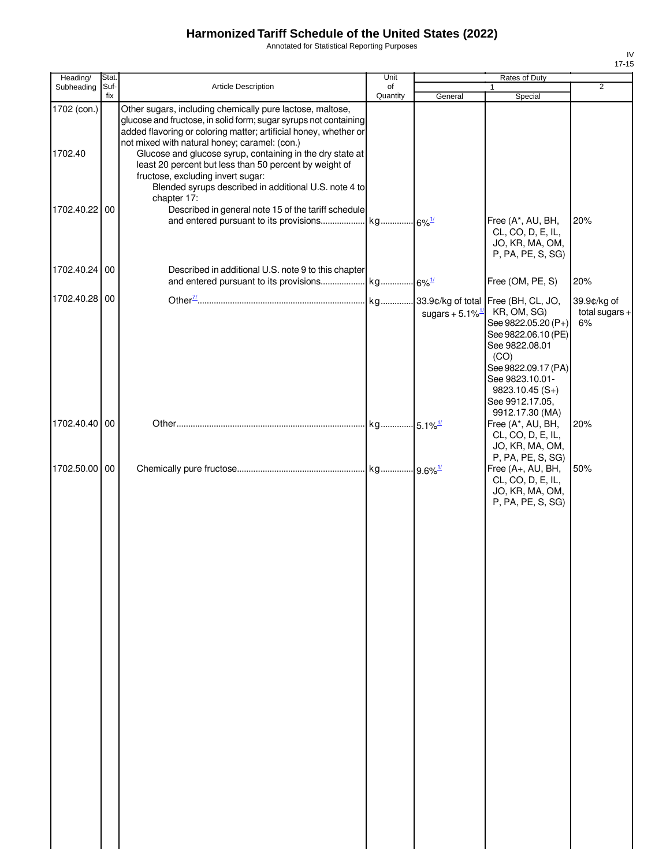Annotated for Statistical Reporting Purposes

| Heading/               | Stat.       |                                                                                                                                                                                                                                                                                                                                                                                                                                                                         | Unit           | Rates of Duty                  |                                                                                                                                                                                                                                |                                       |
|------------------------|-------------|-------------------------------------------------------------------------------------------------------------------------------------------------------------------------------------------------------------------------------------------------------------------------------------------------------------------------------------------------------------------------------------------------------------------------------------------------------------------------|----------------|--------------------------------|--------------------------------------------------------------------------------------------------------------------------------------------------------------------------------------------------------------------------------|---------------------------------------|
| Subheading             | Suf-<br>fix | Article Description                                                                                                                                                                                                                                                                                                                                                                                                                                                     | of<br>Quantity | General                        | $\mathbf{1}$<br>Special                                                                                                                                                                                                        | $\overline{2}$                        |
| 1702 (con.)<br>1702.40 |             | Other sugars, including chemically pure lactose, maltose,<br>glucose and fructose, in solid form; sugar syrups not containing<br>added flavoring or coloring matter; artificial honey, whether or<br>not mixed with natural honey; caramel: (con.)<br>Glucose and glucose syrup, containing in the dry state at<br>least 20 percent but less than 50 percent by weight of<br>fructose, excluding invert sugar:<br>Blended syrups described in additional U.S. note 4 to |                |                                |                                                                                                                                                                                                                                |                                       |
| 1702.40.22 00          |             | chapter 17:<br>Described in general note 15 of the tariff schedule                                                                                                                                                                                                                                                                                                                                                                                                      |                |                                | Free (A*, AU, BH,<br>CL, CO, D, E, IL,<br>JO, KR, MA, OM,<br>P, PA, PE, S, SG)                                                                                                                                                 | 20%                                   |
| 1702.40.24 00          |             | Described in additional U.S. note 9 to this chapter                                                                                                                                                                                                                                                                                                                                                                                                                     |                |                                | Free (OM, PE, S)                                                                                                                                                                                                               | 20%                                   |
| 1702.40.28 00          |             |                                                                                                                                                                                                                                                                                                                                                                                                                                                                         |                | sugars + $5.1\%$ <sup>1/</sup> | 33.9¢/kg of total Free (BH, CL, JO,<br>KR, OM, SG)<br>See 9822.05.20 (P+)<br>See 9822.06.10 (PE)<br>See 9822.08.01<br>(CO)<br>See 9822.09.17 (PA)<br>See 9823.10.01-<br>$9823.10.45(S+)$<br>See 9912.17.05,<br>9912.17.30 (MA) | 39.9¢/kg of<br>total sugars $+$<br>6% |
| 1702.40.40 00          |             |                                                                                                                                                                                                                                                                                                                                                                                                                                                                         |                |                                | Free (A*, AU, BH,<br>CL, CO, D, E, IL,<br>JO, KR, MA, OM,                                                                                                                                                                      | 20%                                   |
| 1702.50.00 00          |             |                                                                                                                                                                                                                                                                                                                                                                                                                                                                         |                |                                | P, PA, PE, S, SG)<br>Free (A+, AU, BH,<br>CL, CO, D, E, IL,<br>JO, KR, MA, OM,<br>P, PA, PE, S, SG)                                                                                                                            | 50%                                   |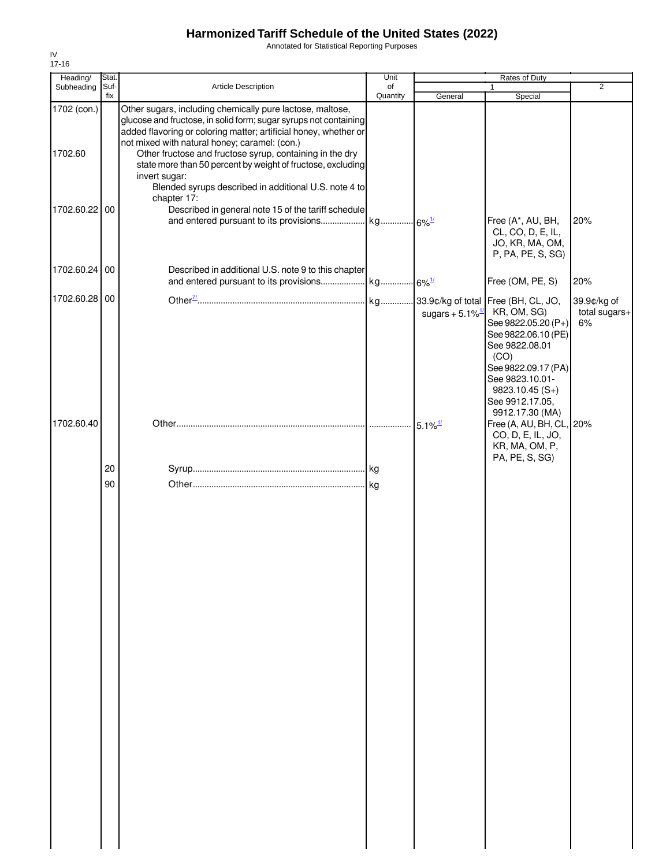Annotated for Statistical Reporting Purposes

| Heading/               | Stat.       |                                                                                                                                                                                                                                                                                                                                                                                                                                                         | Unit           |                                | Rates of Duty                                                                                                                                                                                                                  |                                    |
|------------------------|-------------|---------------------------------------------------------------------------------------------------------------------------------------------------------------------------------------------------------------------------------------------------------------------------------------------------------------------------------------------------------------------------------------------------------------------------------------------------------|----------------|--------------------------------|--------------------------------------------------------------------------------------------------------------------------------------------------------------------------------------------------------------------------------|------------------------------------|
| Subheading             | Suf-<br>fix | Article Description                                                                                                                                                                                                                                                                                                                                                                                                                                     | of<br>Quantity | General                        | 1<br>Special                                                                                                                                                                                                                   | $\overline{2}$                     |
| 1702 (con.)<br>1702.60 |             | Other sugars, including chemically pure lactose, maltose,<br>glucose and fructose, in solid form; sugar syrups not containing<br>added flavoring or coloring matter; artificial honey, whether or<br>not mixed with natural honey; caramel: (con.)<br>Other fructose and fructose syrup, containing in the dry<br>state more than 50 percent by weight of fructose, excluding<br>invert sugar:<br>Blended syrups described in additional U.S. note 4 to |                |                                |                                                                                                                                                                                                                                |                                    |
| 1702.60.22 00          |             | chapter 17:<br>Described in general note 15 of the tariff schedule                                                                                                                                                                                                                                                                                                                                                                                      |                |                                | Free (A*, AU, BH,<br>CL, CO, D, E, IL,<br>JO, KR, MA, OM,<br>P, PA, PE, S, SG)                                                                                                                                                 | 20%                                |
| 1702.60.24 00          |             | Described in additional U.S. note 9 to this chapter                                                                                                                                                                                                                                                                                                                                                                                                     |                |                                | Free (OM, PE, S)                                                                                                                                                                                                               | 20%                                |
| 1702.60.28 00          |             |                                                                                                                                                                                                                                                                                                                                                                                                                                                         | kg             | sugars + $5.1\%$ <sup>1/</sup> | 33.9¢/kg of total Free (BH, CL, JO,<br>KR, OM, SG)<br>See 9822.05.20 (P+)<br>See 9822.06.10 (PE)<br>See 9822.08.01<br>(CO)<br>See 9822.09.17 (PA)<br>See 9823.10.01-<br>$9823.10.45(S+)$<br>See 9912.17.05,<br>9912.17.30 (MA) | 39.9¢/kg of<br>total sugars+<br>6% |
| 1702.60.40             |             |                                                                                                                                                                                                                                                                                                                                                                                                                                                         |                | $5.1\%$ <sup>1/</sup>          | Free (A, AU, BH, CL, 20%<br>CO, D, E, IL, JO,<br>KR, MA, OM, P,<br>PA, PE, S, SG)                                                                                                                                              |                                    |
|                        | 20<br>90    |                                                                                                                                                                                                                                                                                                                                                                                                                                                         |                |                                |                                                                                                                                                                                                                                |                                    |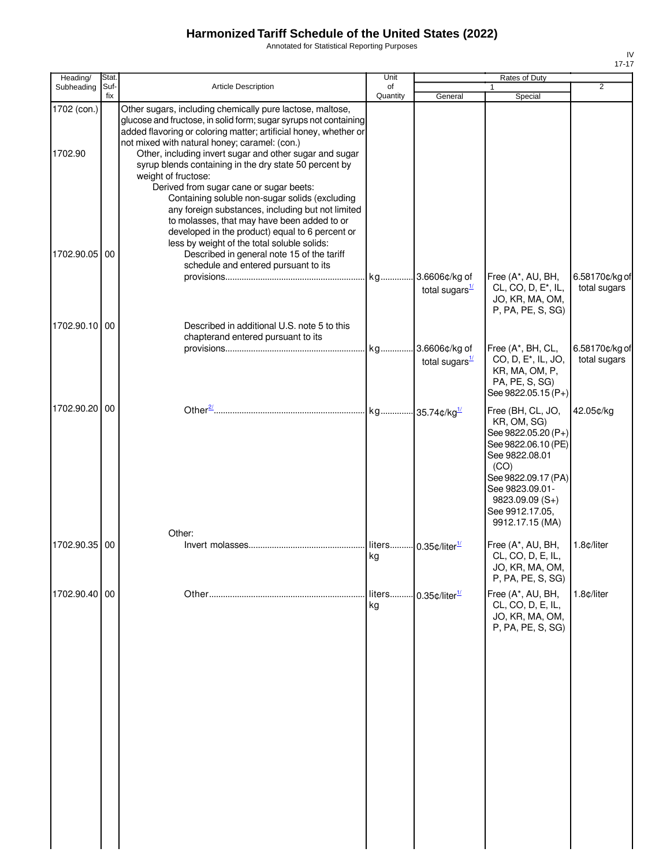Annotated for Statistical Reporting Purposes

| Heading/               | <b>Stat</b> |                                                                                                                                                                                                                                                                                                                                                                                                                                                                                                                                                  | Unit           |                                     | <b>Rates of Duty</b>                                                                                                                                                                                        |                                |
|------------------------|-------------|--------------------------------------------------------------------------------------------------------------------------------------------------------------------------------------------------------------------------------------------------------------------------------------------------------------------------------------------------------------------------------------------------------------------------------------------------------------------------------------------------------------------------------------------------|----------------|-------------------------------------|-------------------------------------------------------------------------------------------------------------------------------------------------------------------------------------------------------------|--------------------------------|
| Subheading             | Suf-<br>fix | Article Description                                                                                                                                                                                                                                                                                                                                                                                                                                                                                                                              | of<br>Quantity | General                             | 1<br>Special                                                                                                                                                                                                | $\overline{2}$                 |
| 1702 (con.)<br>1702.90 |             | Other sugars, including chemically pure lactose, maltose,<br>glucose and fructose, in solid form; sugar syrups not containing<br>added flavoring or coloring matter; artificial honey, whether or<br>not mixed with natural honey; caramel: (con.)<br>Other, including invert sugar and other sugar and sugar<br>syrup blends containing in the dry state 50 percent by<br>weight of fructose:<br>Derived from sugar cane or sugar beets:<br>Containing soluble non-sugar solids (excluding<br>any foreign substances, including but not limited |                |                                     |                                                                                                                                                                                                             |                                |
| 1702.90.05 00          |             | to molasses, that may have been added to or<br>developed in the product) equal to 6 percent or<br>less by weight of the total soluble solids:<br>Described in general note 15 of the tariff<br>schedule and entered pursuant to its                                                                                                                                                                                                                                                                                                              |                | total sugars $\frac{1}{2}$          | Free (A*, AU, BH,<br>CL, CO, D, E <sup>*</sup> , IL,<br>JO, KR, MA, OM,                                                                                                                                     | 6.58170¢/kg of<br>total sugars |
| 1702.90.10 00          |             | Described in additional U.S. note 5 to this<br>chapterand entered pursuant to its                                                                                                                                                                                                                                                                                                                                                                                                                                                                |                | 3.6606¢/kg of                       | P, PA, PE, S, SG)<br>Free (A*, BH, CL,                                                                                                                                                                      | 6.58170¢/kg of                 |
|                        |             |                                                                                                                                                                                                                                                                                                                                                                                                                                                                                                                                                  |                | total sugars <sup>1/</sup>          | CO, D, E <sup>*</sup> , IL, JO,<br>KR, MA, OM, P,<br>PA, PE, S, SG)<br>See 9822.05.15 (P+)                                                                                                                  | total sugars                   |
| 1702.90.20 00          |             |                                                                                                                                                                                                                                                                                                                                                                                                                                                                                                                                                  |                |                                     | Free (BH, CL, JO,<br>KR, OM, SG)<br>See 9822.05.20 (P+)<br>See 9822.06.10 (PE)<br>See 9822.08.01<br>(CO)<br>See 9822.09.17 (PA)<br>See 9823.09.01-<br>9823.09.09 (S+)<br>See 9912.17.05,<br>9912.17.15 (MA) | 42.05¢/kg                      |
| 1702.90.35 00          |             | Other:                                                                                                                                                                                                                                                                                                                                                                                                                                                                                                                                           | kg             | liters 0.35¢/liter <sup>1/</sup>    | Free (A*, AU, BH,<br>CL, CO, D, E, IL,<br>JO, KR, MA, OM,<br>P, PA, PE, S, SG)                                                                                                                              | 1.8c/liter                     |
| 1702.90.40 00          |             |                                                                                                                                                                                                                                                                                                                                                                                                                                                                                                                                                  | liters<br>kg   | 0.35 $\text{c/liter}^{\frac{1}{2}}$ | Free (A*, AU, BH,<br>CL, CO, D, E, IL,<br>JO, KR, MA, OM,<br>P, PA, PE, S, SG)                                                                                                                              | 1.8¢/liter                     |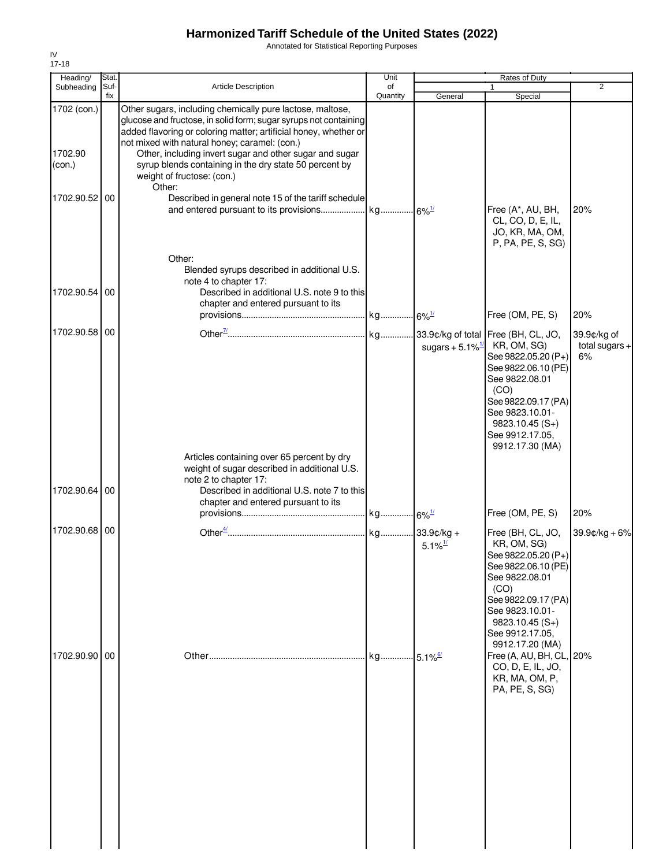Annotated for Statistical Reporting Purposes

| Heading/                         | Stat.       |                                                                                                                                                                                                                                                                                                                                                                                                                 | Unit           |                                | Rates of Duty                                                                                                                                                                                                                            |                                       |
|----------------------------------|-------------|-----------------------------------------------------------------------------------------------------------------------------------------------------------------------------------------------------------------------------------------------------------------------------------------------------------------------------------------------------------------------------------------------------------------|----------------|--------------------------------|------------------------------------------------------------------------------------------------------------------------------------------------------------------------------------------------------------------------------------------|---------------------------------------|
| Subheading                       | Suf-<br>fix | Article Description                                                                                                                                                                                                                                                                                                                                                                                             | of<br>Quantity | General                        | Special                                                                                                                                                                                                                                  | $\overline{2}$                        |
| 1702 (con.)<br>1702.90<br>(con.) |             | Other sugars, including chemically pure lactose, maltose,<br>glucose and fructose, in solid form; sugar syrups not containing<br>added flavoring or coloring matter; artificial honey, whether or<br>not mixed with natural honey; caramel: (con.)<br>Other, including invert sugar and other sugar and sugar<br>syrup blends containing in the dry state 50 percent by<br>weight of fructose: (con.)<br>Other: |                |                                |                                                                                                                                                                                                                                          |                                       |
| 1702.90.52 00                    |             | Described in general note 15 of the tariff schedule                                                                                                                                                                                                                                                                                                                                                             |                |                                | Free (A*, AU, BH,<br>CL, CO, D, E, IL,<br>JO, KR, MA, OM,<br>P, PA, PE, S, SG)                                                                                                                                                           | 20%                                   |
| 1702.90.54 00                    |             | Other:<br>Blended syrups described in additional U.S.<br>note 4 to chapter 17:<br>Described in additional U.S. note 9 to this<br>chapter and entered pursuant to its                                                                                                                                                                                                                                            |                |                                | Free (OM, PE, S)                                                                                                                                                                                                                         | 20%                                   |
| 1702.90.58 00                    |             |                                                                                                                                                                                                                                                                                                                                                                                                                 |                | sugars + $5.1\%$ <sup>1/</sup> | KR, OM, SG)<br>See 9822.05.20 (P+)<br>See 9822.06.10 (PE)<br>See 9822.08.01<br>(CO)<br>See 9822.09.17 (PA)<br>See 9823.10.01-<br>$9823.10.45(S+)$<br>See 9912.17.05,<br>9912.17.30 (MA)                                                  | 39.9¢/kg of<br>total sugars $+$<br>6% |
| 1702.90.64 00                    |             | Articles containing over 65 percent by dry<br>weight of sugar described in additional U.S.<br>note 2 to chapter 17:<br>Described in additional U.S. note 7 to this<br>chapter and entered pursuant to its                                                                                                                                                                                                       |                |                                |                                                                                                                                                                                                                                          |                                       |
|                                  |             |                                                                                                                                                                                                                                                                                                                                                                                                                 |                |                                | Free (OM, PE, S)                                                                                                                                                                                                                         | 20%                                   |
| 1702.90.68 00<br>1702.90.90 00   |             |                                                                                                                                                                                                                                                                                                                                                                                                                 |                | $5.1\%$ <sup>1/</sup>          | Free (BH, CL, JO,<br>KR, OM, SG)<br>See 9822.05.20 (P+)<br>See 9822.06.10 (PE)<br>See 9822.08.01<br>(CO)<br>See 9822.09.17 (PA)<br>See 9823.10.01-<br>$9823.10.45(S+)$<br>See 9912.17.05,<br>9912.17.20 (MA)<br>Free (A, AU, BH, CL, 20% | $39.9$ ¢/kg + 6%                      |
|                                  |             |                                                                                                                                                                                                                                                                                                                                                                                                                 |                |                                | CO, D, E, IL, JO,<br>KR, MA, OM, P,<br>PA, PE, S, SG)                                                                                                                                                                                    |                                       |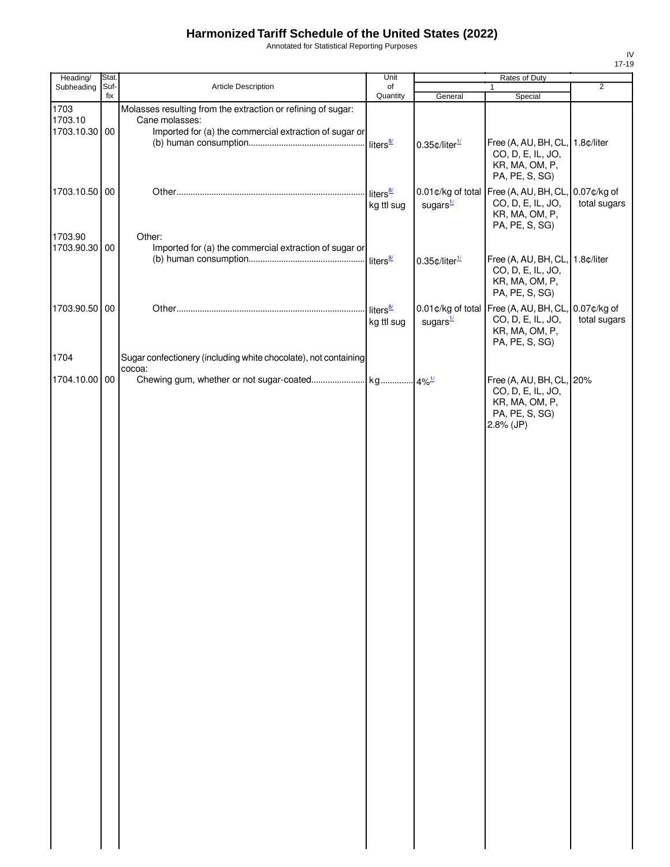Annotated for Statistical Reporting Purposes

| Heading/      | Stat. |                                                                 | Unit                 |                              | Rates of Duty                                      |                |
|---------------|-------|-----------------------------------------------------------------|----------------------|------------------------------|----------------------------------------------------|----------------|
| Subheading    | Suf-  | Article Description                                             | of                   |                              | 1                                                  | $\overline{2}$ |
|               | fix   |                                                                 | Quantity             | General                      | Special                                            |                |
| 1703          |       | Molasses resulting from the extraction or refining of sugar:    |                      |                              |                                                    |                |
| 1703.10       |       | Cane molasses:                                                  |                      |                              |                                                    |                |
| 1703.10.30 00 |       | Imported for (a) the commercial extraction of sugar or          |                      |                              |                                                    |                |
|               |       |                                                                 |                      | $0.35$ ¢/liter $1/2$         | Free (A, AU, BH, CL, 1.8¢/liter                    |                |
|               |       |                                                                 |                      |                              | CO, D, E, IL, JO,                                  |                |
|               |       |                                                                 |                      |                              | KR, MA, OM, P,<br>PA, PE, S, SG)                   |                |
|               |       |                                                                 |                      |                              |                                                    |                |
| 1703.10.50 00 |       |                                                                 | liters $\frac{8}{2}$ |                              | 0.01¢/kg of total Free (A, AU, BH, CL, 0.07¢/kg of |                |
|               |       |                                                                 | kg ttl sug           | sugars $\frac{1}{2}$         | CO, D, E, IL, JO,                                  | total sugars   |
|               |       |                                                                 |                      |                              | KR, MA, OM, P,                                     |                |
|               |       |                                                                 |                      |                              | PA, PE, S, SG)                                     |                |
| 1703.90       |       | Other:                                                          |                      |                              |                                                    |                |
| 1703.90.30 00 |       | Imported for (a) the commercial extraction of sugar or          |                      |                              | Free (A, AU, BH, CL, 1.8¢/liter                    |                |
|               |       |                                                                 |                      | $0.35$ ¢/liter $\frac{1}{2}$ | CO, D, E, IL, JO,                                  |                |
|               |       |                                                                 |                      |                              | KR, MA, OM, P,                                     |                |
|               |       |                                                                 |                      |                              | PA, PE, S, SG)                                     |                |
|               |       |                                                                 |                      |                              |                                                    |                |
| 1703.90.50 00 |       |                                                                 | liters $\frac{8}{2}$ |                              | 0.01¢/kg of total Free (A, AU, BH, CL, 0.07¢/kg of |                |
|               |       |                                                                 | kg ttl sug           | sugars $\frac{1}{2}$         | CO, D, E, IL, JO,                                  | total sugars   |
|               |       |                                                                 |                      |                              | KR, MA, OM, P,                                     |                |
|               |       |                                                                 |                      |                              | PA, PE, S, SG)                                     |                |
| 1704          |       | Sugar confectionery (including white chocolate), not containing |                      |                              |                                                    |                |
|               |       | cocoa:                                                          |                      |                              |                                                    |                |
| 1704.10.00 00 |       |                                                                 |                      |                              | Free (A, AU, BH, CL, 20%                           |                |
|               |       |                                                                 |                      |                              | CO, D, E, IL, JO,                                  |                |
|               |       |                                                                 |                      |                              | KR, MA, OM, P,                                     |                |
|               |       |                                                                 |                      |                              | PA, PE, S, SG)<br>$2.8%$ (JP)                      |                |
|               |       |                                                                 |                      |                              |                                                    |                |
|               |       |                                                                 |                      |                              |                                                    |                |
|               |       |                                                                 |                      |                              |                                                    |                |
|               |       |                                                                 |                      |                              |                                                    |                |
|               |       |                                                                 |                      |                              |                                                    |                |
|               |       |                                                                 |                      |                              |                                                    |                |
|               |       |                                                                 |                      |                              |                                                    |                |
|               |       |                                                                 |                      |                              |                                                    |                |
|               |       |                                                                 |                      |                              |                                                    |                |
|               |       |                                                                 |                      |                              |                                                    |                |
|               |       |                                                                 |                      |                              |                                                    |                |
|               |       |                                                                 |                      |                              |                                                    |                |
|               |       |                                                                 |                      |                              |                                                    |                |
|               |       |                                                                 |                      |                              |                                                    |                |
|               |       |                                                                 |                      |                              |                                                    |                |
|               |       |                                                                 |                      |                              |                                                    |                |
|               |       |                                                                 |                      |                              |                                                    |                |
|               |       |                                                                 |                      |                              |                                                    |                |
|               |       |                                                                 |                      |                              |                                                    |                |
|               |       |                                                                 |                      |                              |                                                    |                |
|               |       |                                                                 |                      |                              |                                                    |                |
|               |       |                                                                 |                      |                              |                                                    |                |
|               |       |                                                                 |                      |                              |                                                    |                |
|               |       |                                                                 |                      |                              |                                                    |                |
|               |       |                                                                 |                      |                              |                                                    |                |
|               |       |                                                                 |                      |                              |                                                    |                |
|               |       |                                                                 |                      |                              |                                                    |                |
|               |       |                                                                 |                      |                              |                                                    |                |
|               |       |                                                                 |                      |                              |                                                    |                |
|               |       |                                                                 |                      |                              |                                                    |                |
|               |       |                                                                 |                      |                              |                                                    |                |
|               |       |                                                                 |                      |                              |                                                    |                |
|               |       |                                                                 |                      |                              |                                                    |                |
|               |       |                                                                 |                      |                              |                                                    |                |
|               |       |                                                                 |                      |                              |                                                    |                |
|               |       |                                                                 |                      |                              |                                                    |                |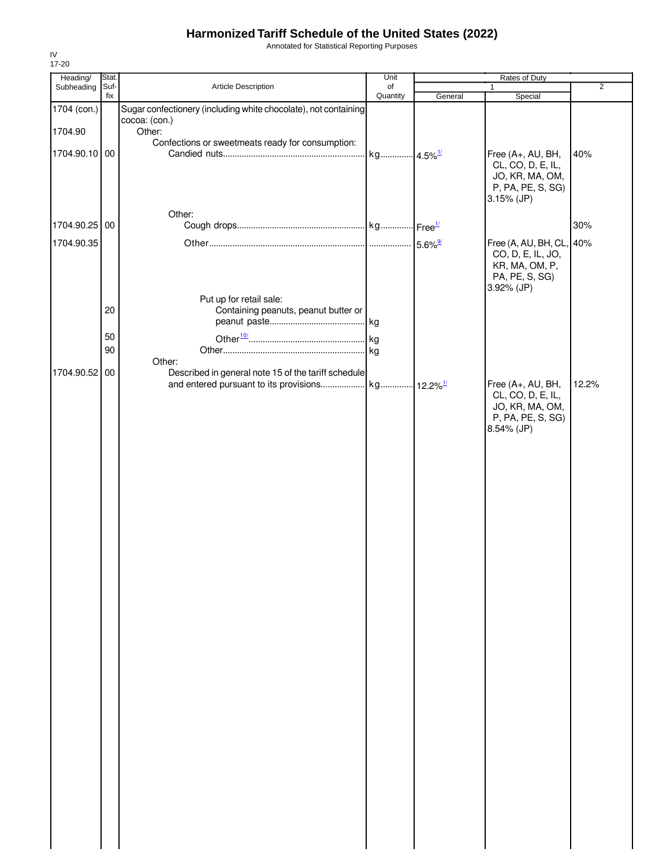Annotated for Statistical Reporting Purposes

| Heading/      | Stat. |                                                                 | Unit                  |         | Rates of Duty            |                |
|---------------|-------|-----------------------------------------------------------------|-----------------------|---------|--------------------------|----------------|
| Subheading    | Suf-  | Article Description                                             | of                    |         | 1                        | $\overline{2}$ |
|               | fix   |                                                                 | Quantity              | General | Special                  |                |
| 1704 (con.)   |       | Sugar confectionery (including white chocolate), not containing |                       |         |                          |                |
|               |       | cocoa: (con.)                                                   |                       |         |                          |                |
| 1704.90       |       | Other:                                                          |                       |         |                          |                |
|               |       | Confections or sweetmeats ready for consumption:                |                       |         |                          |                |
| 1704.90.10 00 |       |                                                                 | kg 4.5% <sup>1/</sup> |         | Free (A+, AU, BH,        | 40%            |
|               |       |                                                                 |                       |         | CL, CO, D, E, IL,        |                |
|               |       |                                                                 |                       |         | JO, KR, MA, OM,          |                |
|               |       |                                                                 |                       |         | P, PA, PE, S, SG)        |                |
|               |       |                                                                 |                       |         | 3.15% (JP)               |                |
|               |       | Other:                                                          |                       |         |                          |                |
| 1704.90.25 00 |       |                                                                 |                       |         |                          | 30%            |
|               |       |                                                                 |                       |         |                          |                |
| 1704.90.35    |       |                                                                 |                       |         | Free (A, AU, BH, CL, 40% |                |
|               |       |                                                                 |                       |         | CO, D, E, IL, JO,        |                |
|               |       |                                                                 |                       |         | KR, MA, OM, P,           |                |
|               |       |                                                                 |                       |         | PA, PE, S, SG)           |                |
|               |       |                                                                 |                       |         | 3.92% (JP)               |                |
|               |       | Put up for retail sale:                                         |                       |         |                          |                |
|               | 20    | Containing peanuts, peanut butter or                            |                       |         |                          |                |
|               |       |                                                                 |                       |         |                          |                |
|               | 50    |                                                                 |                       |         |                          |                |
|               | 90    |                                                                 |                       |         |                          |                |
|               |       | Other:                                                          |                       |         |                          |                |
| 1704.90.52 00 |       | Described in general note 15 of the tariff schedule             |                       |         |                          |                |
|               |       |                                                                 |                       |         | Free (A+, AU, BH,        | 12.2%          |
|               |       |                                                                 |                       |         | CL, CO, D, E, IL,        |                |
|               |       |                                                                 |                       |         | JO, KR, MA, OM,          |                |
|               |       |                                                                 |                       |         | P, PA, PE, S, SG)        |                |
|               |       |                                                                 |                       |         | 8.54% (JP)               |                |
|               |       |                                                                 |                       |         |                          |                |
|               |       |                                                                 |                       |         |                          |                |
|               |       |                                                                 |                       |         |                          |                |
|               |       |                                                                 |                       |         |                          |                |
|               |       |                                                                 |                       |         |                          |                |
|               |       |                                                                 |                       |         |                          |                |
|               |       |                                                                 |                       |         |                          |                |
|               |       |                                                                 |                       |         |                          |                |
|               |       |                                                                 |                       |         |                          |                |
|               |       |                                                                 |                       |         |                          |                |
|               |       |                                                                 |                       |         |                          |                |
|               |       |                                                                 |                       |         |                          |                |
|               |       |                                                                 |                       |         |                          |                |
|               |       |                                                                 |                       |         |                          |                |
|               |       |                                                                 |                       |         |                          |                |
|               |       |                                                                 |                       |         |                          |                |
|               |       |                                                                 |                       |         |                          |                |
|               |       |                                                                 |                       |         |                          |                |
|               |       |                                                                 |                       |         |                          |                |
|               |       |                                                                 |                       |         |                          |                |
|               |       |                                                                 |                       |         |                          |                |
|               |       |                                                                 |                       |         |                          |                |
|               |       |                                                                 |                       |         |                          |                |
|               |       |                                                                 |                       |         |                          |                |
|               |       |                                                                 |                       |         |                          |                |
|               |       |                                                                 |                       |         |                          |                |
|               |       |                                                                 |                       |         |                          |                |
|               |       |                                                                 |                       |         |                          |                |
|               |       |                                                                 |                       |         |                          |                |
|               |       |                                                                 |                       |         |                          |                |
|               |       |                                                                 |                       |         |                          |                |
|               |       |                                                                 |                       |         |                          |                |
|               |       |                                                                 |                       |         |                          |                |
|               |       |                                                                 |                       |         |                          |                |
|               |       |                                                                 |                       |         |                          |                |
|               |       |                                                                 |                       |         |                          |                |
|               |       |                                                                 |                       |         |                          |                |
|               |       |                                                                 |                       |         |                          |                |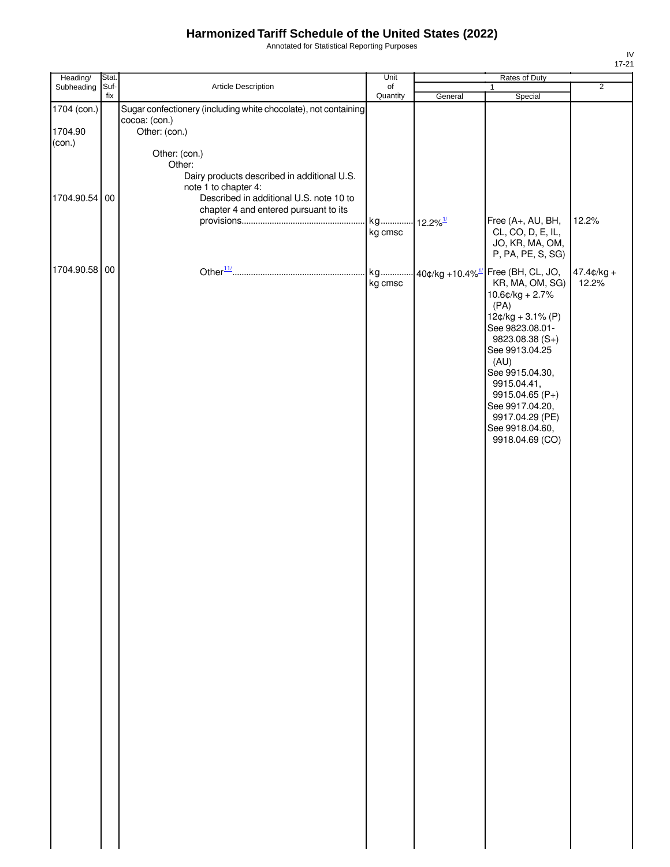Annotated for Statistical Reporting Purposes

| Heading/      | Stat.       |                                                                     | Unit           |                        | Rates of Duty                                    |                |
|---------------|-------------|---------------------------------------------------------------------|----------------|------------------------|--------------------------------------------------|----------------|
| Subheading    | Suf-<br>fix | Article Description                                                 | of<br>Quantity | General                | 1<br>Special                                     | $\overline{2}$ |
| 1704 (con.)   |             | Sugar confectionery (including white chocolate), not containing     |                |                        |                                                  |                |
|               |             | cocoa: (con.)                                                       |                |                        |                                                  |                |
| 1704.90       |             | Other: (con.)                                                       |                |                        |                                                  |                |
| (con.)        |             |                                                                     |                |                        |                                                  |                |
|               |             | Other: (con.)                                                       |                |                        |                                                  |                |
|               |             | Other:                                                              |                |                        |                                                  |                |
|               |             | Dairy products described in additional U.S.<br>note 1 to chapter 4: |                |                        |                                                  |                |
| 1704.90.54    | $00\,$      | Described in additional U.S. note 10 to                             |                |                        |                                                  |                |
|               |             | chapter 4 and entered pursuant to its                               |                |                        |                                                  |                |
|               |             |                                                                     | kg             | $12.2\%$ <sup>1/</sup> | Free (A+, AU, BH,                                | 12.2%          |
|               |             |                                                                     | kg cmsc        |                        | CL, CO, D, E, IL,                                |                |
|               |             |                                                                     |                |                        | JO, KR, MA, OM,                                  |                |
|               |             |                                                                     |                |                        | P, PA, PE, S, SG)                                |                |
| 1704.90.58 00 |             |                                                                     | kg             |                        | $40$ ¢/kg +10.4% <sup>1/</sup> Free (BH, CL, JO, | $47.4¢/kg +$   |
|               |             |                                                                     | kg cmsc        |                        | KR, MA, OM, SG)                                  | 12.2%          |
|               |             |                                                                     |                |                        | $10.6$ ¢/kg + 2.7%                               |                |
|               |             |                                                                     |                |                        | (PA)                                             |                |
|               |             |                                                                     |                |                        | $12¢/kg + 3.1% (P)$                              |                |
|               |             |                                                                     |                |                        | See 9823.08.01-<br>9823.08.38 (S+)               |                |
|               |             |                                                                     |                |                        | See 9913.04.25                                   |                |
|               |             |                                                                     |                |                        | (AU)                                             |                |
|               |             |                                                                     |                |                        | See 9915.04.30,                                  |                |
|               |             |                                                                     |                |                        | 9915.04.41,                                      |                |
|               |             |                                                                     |                |                        | 9915.04.65 (P+)                                  |                |
|               |             |                                                                     |                |                        | See 9917.04.20,<br>9917.04.29 (PE)               |                |
|               |             |                                                                     |                |                        | See 9918.04.60,                                  |                |
|               |             |                                                                     |                |                        | 9918.04.69 (CO)                                  |                |
|               |             |                                                                     |                |                        |                                                  |                |
|               |             |                                                                     |                |                        |                                                  |                |
|               |             |                                                                     |                |                        |                                                  |                |
|               |             |                                                                     |                |                        |                                                  |                |
|               |             |                                                                     |                |                        |                                                  |                |
|               |             |                                                                     |                |                        |                                                  |                |
|               |             |                                                                     |                |                        |                                                  |                |
|               |             |                                                                     |                |                        |                                                  |                |
|               |             |                                                                     |                |                        |                                                  |                |
|               |             |                                                                     |                |                        |                                                  |                |
|               |             |                                                                     |                |                        |                                                  |                |
|               |             |                                                                     |                |                        |                                                  |                |
|               |             |                                                                     |                |                        |                                                  |                |
|               |             |                                                                     |                |                        |                                                  |                |
|               |             |                                                                     |                |                        |                                                  |                |
|               |             |                                                                     |                |                        |                                                  |                |
|               |             |                                                                     |                |                        |                                                  |                |
|               |             |                                                                     |                |                        |                                                  |                |
|               |             |                                                                     |                |                        |                                                  |                |
|               |             |                                                                     |                |                        |                                                  |                |
|               |             |                                                                     |                |                        |                                                  |                |
|               |             |                                                                     |                |                        |                                                  |                |
|               |             |                                                                     |                |                        |                                                  |                |
|               |             |                                                                     |                |                        |                                                  |                |
|               |             |                                                                     |                |                        |                                                  |                |
|               |             |                                                                     |                |                        |                                                  |                |
|               |             |                                                                     |                |                        |                                                  |                |
|               |             |                                                                     |                |                        |                                                  |                |
|               |             |                                                                     |                |                        |                                                  |                |
|               |             |                                                                     |                |                        |                                                  |                |
|               |             |                                                                     |                |                        |                                                  |                |
|               |             |                                                                     |                |                        |                                                  |                |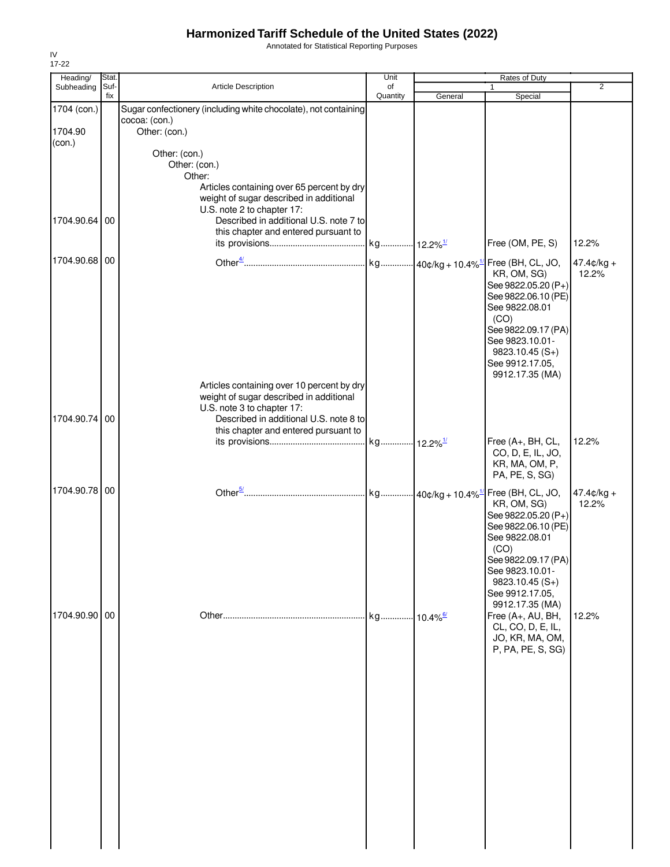Annotated for Statistical Reporting Purposes

Unit Rates of Duty of **Quantity** Article Description Subheading 1 2 Stat. Suffix Heading/<br>Subheading General | Special Sugar confectionery (including white chocolate), not containing cocoa: (con.) 1704 (con.) 1704.90 **Other:** (con.) (con.) Other: (con.) Other: (con.) Other: Articles containing over 65 percent by dry weight of sugar described in additional U.S. note 2 to chapter 17: Described in additional U.S. note 7 to this chapter and entered pursuant to its provisions......................................... kg...............|<sub>12.2%</sub><sup>[1/](#page-22-0)</sup> Free (OM, PE, S) |12.2% 12.2% Free (BH, CL, JO, KR, OM, SG) See 9822.05.20 (P+) See 9822.06.10 (PE) See 9822.08.01 (CO) See 9822.09.17 (PA) See 9823.10.01- 9823.10.45 (S+) See 9912.17.05, 9912.17.35 (MA) kg..............<mark>.</mark>40¢/kg + 10.4%<sup>[1/](#page-22-0)</sup> Articles containing over 10 percent by dry weight of sugar described in additional U.S. note 3 to chapter 17: 1

|               | noight or oagar aooonisoa in aaantona<br>U.S. note 2 to chapter 17: |                        |                                     |              |
|---------------|---------------------------------------------------------------------|------------------------|-------------------------------------|--------------|
| 1704.90.64 00 | Described in additional U.S. note 7 to                              |                        |                                     |              |
|               | this chapter and entered pursuant to                                |                        |                                     |              |
|               |                                                                     |                        | Free (OM, PE, S)                    | 12.2%        |
|               |                                                                     |                        |                                     |              |
| 1704.90.68 00 |                                                                     |                        |                                     | $47.4¢/kg +$ |
|               |                                                                     |                        | KR, OM, SG)                         | 12.2%        |
|               |                                                                     |                        | See 9822.05.20 (P+)                 |              |
|               |                                                                     |                        | See 9822.06.10 (PE)                 |              |
|               |                                                                     |                        | See 9822.08.01                      |              |
|               |                                                                     |                        | (CO)                                |              |
|               |                                                                     |                        | See 9822.09.17 (PA)                 |              |
|               |                                                                     |                        | See 9823.10.01-<br>$9823.10.45(S+)$ |              |
|               |                                                                     |                        | See 9912.17.05,                     |              |
|               |                                                                     |                        | 9912.17.35 (MA)                     |              |
|               | Articles containing over 10 percent by dry                          |                        |                                     |              |
|               | weight of sugar described in additional                             |                        |                                     |              |
|               | U.S. note 3 to chapter 17:                                          |                        |                                     |              |
| 1704.90.74 00 | Described in additional U.S. note 8 to                              |                        |                                     |              |
|               | this chapter and entered pursuant to                                |                        |                                     |              |
|               |                                                                     |                        | Free (A+, BH, CL,                   | 12.2%        |
|               |                                                                     |                        | CO, D, E, IL, JO,                   |              |
|               |                                                                     |                        | KR, MA, OM, P,                      |              |
|               |                                                                     |                        | PA, PE, S, SG)                      |              |
| 1704.90.78 00 |                                                                     |                        |                                     | $47.4¢/kg +$ |
|               |                                                                     |                        | KR, OM, SG)                         | 12.2%        |
|               |                                                                     |                        | See 9822.05.20 (P+)                 |              |
|               |                                                                     |                        | See 9822.06.10 (PE)                 |              |
|               |                                                                     |                        | See 9822.08.01                      |              |
|               |                                                                     |                        | (CO)                                |              |
|               |                                                                     |                        | See 9822.09.17 (PA)                 |              |
|               |                                                                     |                        | See 9823.10.01-                     |              |
|               |                                                                     |                        | $9823.10.45(S+)$                    |              |
|               |                                                                     |                        | See 9912.17.05,                     |              |
|               |                                                                     |                        | 9912.17.35 (MA)                     |              |
| 1704.90.90 00 |                                                                     | kg 10.4% <sup>6/</sup> | Free (A+, AU, BH,                   | 12.2%        |
|               |                                                                     |                        | CL, CO, D, E, IL,                   |              |
|               |                                                                     |                        | JO, KR, MA, OM,                     |              |
|               |                                                                     |                        | P, PA, PE, S, SG)                   |              |
|               |                                                                     |                        |                                     |              |
|               |                                                                     |                        |                                     |              |
|               |                                                                     |                        |                                     |              |
|               |                                                                     |                        |                                     |              |
|               |                                                                     |                        |                                     |              |
|               |                                                                     |                        |                                     |              |
|               |                                                                     |                        |                                     |              |
|               |                                                                     |                        |                                     |              |
|               |                                                                     |                        |                                     |              |
|               |                                                                     |                        |                                     |              |
|               |                                                                     |                        |                                     |              |
|               |                                                                     |                        |                                     |              |
|               |                                                                     |                        |                                     |              |
|               |                                                                     |                        |                                     |              |
|               |                                                                     |                        |                                     |              |
|               |                                                                     |                        |                                     |              |
|               |                                                                     |                        |                                     |              |